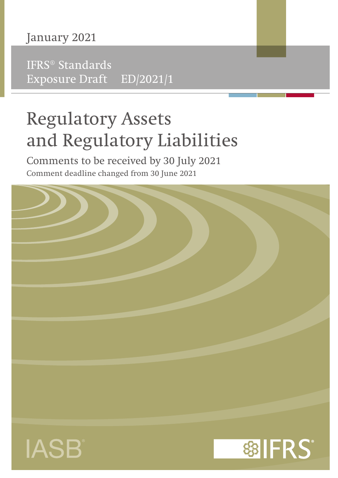# January 2021

IFRS® Standards Exposure Draft ED/2021/1

# Regulatory Assets and Regulatory Liabilities

Comments to be received by 30 July 2021 Comment deadline changed from 30 June 2021

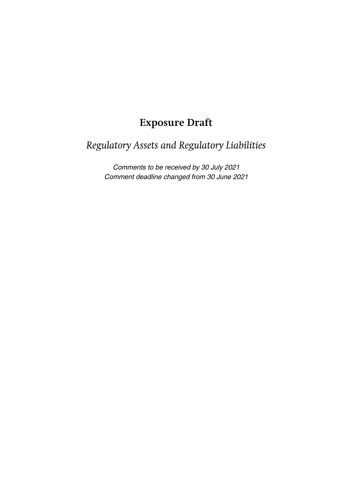# **Exposure Draft**

# *Regulatory Assets and Regulatory Liabilities*

Comments to be received by 30 July 2021 Comment deadline changed from 30 June 2021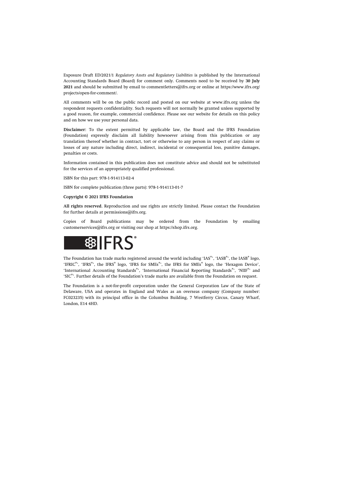Exposure Draft ED/2021/1 *Regulatory Assets and Regulatory Liabilities* is published by the International Accounting Standards Board (Board) for comment only. Comments need to be received by **30 July 2021** and should be submitted by email to [commentletters@ifrs.org](mailto:commentletters@ifrs.org) or online at [https://www.ifrs.org/](https://www.ifrs.org/projects/open-for-comment/) [projects/open-for-comment/](https://www.ifrs.org/projects/open-for-comment/).

All comments will be on the public record and posted on our website at [www.ifrs.org](https://www.ifrs.org) unless the respondent requests confidentiality. Such requests will not normally be granted unless supported by a good reason, for example, commercial confidence. Please see our website for details on this policy and on how we use your personal data.

**Disclaimer:** To the extent permitted by applicable law, the Board and the IFRS Foundation (Foundation) expressly disclaim all liability howsoever arising from this publication or any translation thereof whether in contract, tort or otherwise to any person in respect of any claims or losses of any nature including direct, indirect, incidental or consequential loss, punitive damages, penalties or costs.

Information contained in this publication does not constitute advice and should not be substituted for the services of an appropriately qualified professional.

ISBN for this part: 978-1-914113-02-4

ISBN for complete publication (three parts): 978-1-914113-01-7

#### **Copyright © 2021 IFRS Foundation**

**All rights reserved.** Reproduction and use rights are strictly limited. Please contact the Foundation for further details at [permissions@ifrs.org](mailto:permissions@ifrs.org).

Copies of Board publications may be ordered from the Foundation by emailing [customerservices@ifrs.org](mailto:customerservices@ifrs.org) or visiting our shop at<https://shop.ifrs.org>.



The Foundation has trade marks registered around the world including 'IAS®', 'IASB®', the IASB® logo, 'IFRIC®', 'IFRS®', the IFRS® logo, 'IFRS for SMEs®', the IFRS for SMEs® logo, the 'Hexagon Device', 'International Accounting Standards®', 'International Financial Reporting Standards®', 'NIIF®' and  $^{\circ}\mathrm{SIC}^{\circ}$  . Further details of the Foundation's trade marks are available from the Foundation on request.

The Foundation is a not-for-profit corporation under the General Corporation Law of the State of Delaware, USA and operates in England and Wales as an overseas company (Company number: FC023235) with its principal office in the Columbus Building, 7 Westferry Circus, Canary Wharf, London, E14 4HD.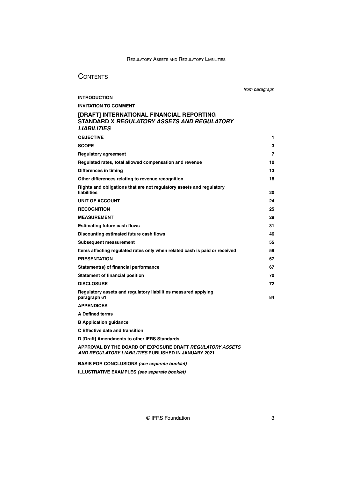# **CONTENTS**

**[INTRODUCTION](#page-5-0)**

from paragraph

# **[INVITATION TO COMMENT](#page-6-0)**

# **[\[DRAFT\] INTERNATIONAL FINANCIAL REPORTING](#page-16-0) STANDARD X [REGULATORY ASSETS AND REGULATORY](#page-16-0) [LIABILITIES](#page-16-0)**

| <b>OBJECTIVE</b>                                                                           | 1  |
|--------------------------------------------------------------------------------------------|----|
| <b>SCOPE</b>                                                                               | 3  |
| <b>Regulatory agreement</b>                                                                | 7  |
| Regulated rates, total allowed compensation and revenue                                    | 10 |
| Differences in timing                                                                      | 13 |
| Other differences relating to revenue recognition                                          | 18 |
| Rights and obligations that are not regulatory assets and regulatory<br><b>liabilities</b> | 20 |
| <b>UNIT OF ACCOUNT</b>                                                                     | 24 |
| <b>RECOGNITION</b>                                                                         | 25 |
| <b>MEASUREMENT</b>                                                                         | 29 |
| <b>Estimating future cash flows</b>                                                        | 31 |
| Discounting estimated future cash flows                                                    | 46 |
| Subsequent measurement                                                                     | 55 |
| Items affecting regulated rates only when related cash is paid or received                 | 59 |
| <b>PRESENTATION</b>                                                                        | 67 |
| Statement(s) of financial performance                                                      | 67 |
| <b>Statement of financial position</b>                                                     | 70 |
| <b>DISCLOSURE</b>                                                                          | 72 |
| Regulatory assets and regulatory liabilities measured applying<br>paragraph 61             | 84 |
| <b>APPENDICES</b>                                                                          |    |
| <b>A Defined terms</b>                                                                     |    |

**[B Application guidance](#page-34-0)**

**[C Effective date and transition](#page-44-0)**

**[D \[Draft\] Amendments to other IFRS Standards](#page-46-0)**

**[APPROVAL BY THE BOARD OF EXPOSURE DRAFT](#page-46-0) REGULATORY ASSETS [AND REGULATORY LIABILITIES](#page-46-0) PUBLISHED IN JANUARY 2021**

**BASIS FOR CONCLUSIONS (see separate booklet)**

**ILLUSTRATIVE EXAMPLES (see separate booklet)**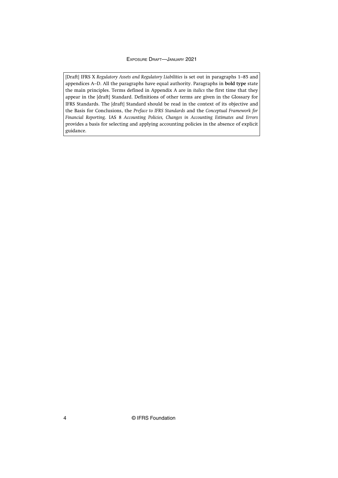[Draft] IFRS X *Regulatory Assets and Regulatory Liabilities* is set out in paragraphs 1–85 and appendices A–D. All the paragraphs have equal authority. Paragraphs in **bold type** state the main principles. Terms defined in Appendix A are in *italics* the first time that they appear in the [draft] Standard. Definitions of other terms are given in the Glossary for IFRS Standards. The [draft] Standard should be read in the context of its objective and the Basis for Conclusions, the *Preface to IFRS Standards* and the *Conceptual Framework for Financial Reporting*. IAS 8 *Accounting Policies, Changes in Accounting Estimates and Errors* provides a basis for selecting and applying accounting policies in the absence of explicit guidance.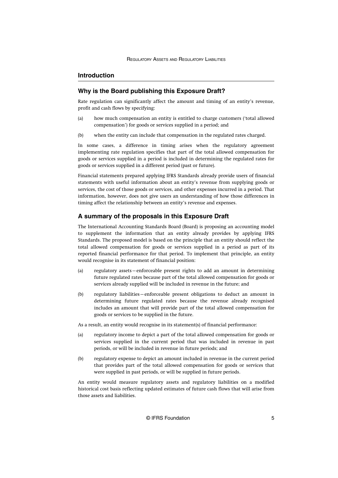# <span id="page-5-0"></span>**Introduction**

# **Why is the Board publishing this Exposure Draft?**

Rate regulation can significantly affect the amount and timing of an entity's revenue, profit and cash flows by specifying:

- (a) how much compensation an entity is entitled to charge customers ('total allowed compensation') for goods or services supplied in a period; and
- (b) when the entity can include that compensation in the regulated rates charged.

In some cases, a difference in timing arises when the regulatory agreement implementing rate regulation specifies that part of the total allowed compensation for goods or services supplied in a period is included in determining the regulated rates for goods or services supplied in a different period (past or future).

Financial statements prepared applying IFRS Standards already provide users of financial statements with useful information about an entity's revenue from supplying goods or services, the cost of those goods or services, and other expenses incurred in a period. That information, however, does not give users an understanding of how those differences in timing affect the relationship between an entity's revenue and expenses.

# **A summary of the proposals in this Exposure Draft**

The International Accounting Standards Board (Board) is proposing an accounting model to supplement the information that an entity already provides by applying IFRS Standards. The proposed model is based on the principle that an entity should reflect the total allowed compensation for goods or services supplied in a period as part of its reported financial performance for that period. To implement that principle, an entity would recognise in its statement of financial position:

- (a) regulatory assets—enforceable present rights to add an amount in determining future regulated rates because part of the total allowed compensation for goods or services already supplied will be included in revenue in the future; and
- (b) regulatory liabilities—enforceable present obligations to deduct an amount in determining future regulated rates because the revenue already recognised includes an amount that will provide part of the total allowed compensation for goods or services to be supplied in the future.

As a result, an entity would recognise in its statement(s) of financial performance:

- (a) regulatory income to depict a part of the total allowed compensation for goods or services supplied in the current period that was included in revenue in past periods, or will be included in revenue in future periods; and
- (b) regulatory expense to depict an amount included in revenue in the current period that provides part of the total allowed compensation for goods or services that were supplied in past periods, or will be supplied in future periods.

An entity would measure regulatory assets and regulatory liabilities on a modified historical cost basis reflecting updated estimates of future cash flows that will arise from those assets and liabilities.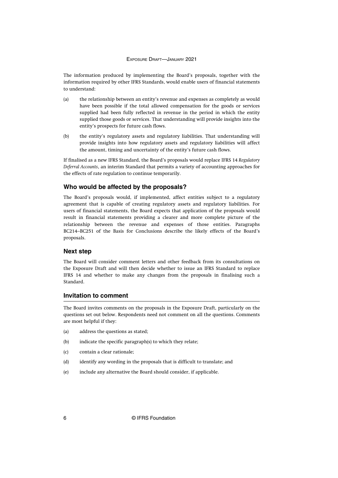<span id="page-6-0"></span>The information produced by implementing the Board's proposals, together with the information required by other IFRS Standards, would enable users of financial statements to understand:

- (a) the relationship between an entity's revenue and expenses as completely as would have been possible if the total allowed compensation for the goods or services supplied had been fully reflected in revenue in the period in which the entity supplied those goods or services. That understanding will provide insights into the entity's prospects for future cash flows.
- (b) the entity's regulatory assets and regulatory liabilities. That understanding will provide insights into how regulatory assets and regulatory liabilities will affect the amount, timing and uncertainty of the entity's future cash flows.

If finalised as a new IFRS Standard, the Board's proposals would replace IFRS 14 *Regulatory Deferral Accounts*, an interim Standard that permits a variety of accounting approaches for the effects of rate regulation to continue temporarily.

# **Who would be affected by the proposals?**

The Board's proposals would, if implemented, affect entities subject to a regulatory agreement that is capable of creating regulatory assets and regulatory liabilities. For users of financial statements, the Board expects that application of the proposals would result in financial statements providing a clearer and more complete picture of the relationship between the revenue and expenses of those entities. Paragraphs BC214–BC251 of the Basis for Conclusions describe the likely effects of the Board's proposals.

# **Next step**

The Board will consider comment letters and other feedback from its consultations on the Exposure Draft and will then decide whether to issue an IFRS Standard to replace IFRS 14 and whether to make any changes from the proposals in finalising such a Standard.

# **Invitation to comment**

The Board invites comments on the proposals in the Exposure Draft, particularly on the questions set out below. Respondents need not comment on all the questions. Comments are most helpful if they:

- (a) address the questions as stated;
- (b) indicate the specific paragraph(s) to which they relate;
- (c) contain a clear rationale;
- (d) identify any wording in the proposals that is difficult to translate; and
- (e) include any alternative the Board should consider, if applicable.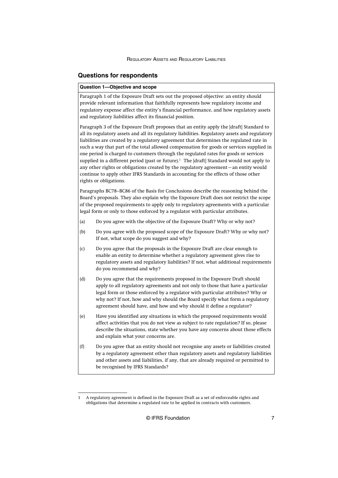# **Questions for respondents**

#### **Question 1—Objective and scope**

Paragraph 1 of the Exposure Draft sets out the proposed objective: an entity should provide relevant information that faithfully represents how regulatory income and regulatory expense affect the entity's financial performance, and how regulatory assets and regulatory liabilities affect its financial position.

Paragraph 3 of the Exposure Draft proposes that an entity apply the [draft] Standard to all its regulatory assets and all its regulatory liabilities. Regulatory assets and regulatory liabilities are created by a regulatory agreement that determines the regulated rate in such a way that part of the total allowed compensation for goods or services supplied in one period is charged to customers through the regulated rates for goods or services supplied in a different period (past or future).<sup>1</sup> The [draft] Standard would not apply to any other rights or obligations created by the regulatory agreement—an entity would continue to apply other IFRS Standards in accounting for the effects of those other rights or obligations.

Paragraphs BC78–BC86 of the Basis for Conclusions describe the reasoning behind the Board's proposals. They also explain why the Exposure Draft does not restrict the scope of the proposed requirements to apply only to regulatory agreements with a particular legal form or only to those enforced by a regulator with particular attributes.

- (a) Do you agree with the objective of the Exposure Draft? Why or why not?
- (b) Do you agree with the proposed scope of the Exposure Draft? Why or why not? If not, what scope do you suggest and why?
- (c) Do you agree that the proposals in the Exposure Draft are clear enough to enable an entity to determine whether a regulatory agreement gives rise to regulatory assets and regulatory liabilities? If not, what additional requirements do you recommend and why?
- (d) Do you agree that the requirements proposed in the Exposure Draft should apply to all regulatory agreements and not only to those that have a particular legal form or those enforced by a regulator with particular attributes? Why or why not? If not, how and why should the Board specify what form a regulatory agreement should have, and how and why should it define a regulator?
- (e) Have you identified any situations in which the proposed requirements would affect activities that you do not view as subject to rate regulation? If so, please describe the situations, state whether you have any concerns about those effects and explain what your concerns are.
- (f) Do you agree that an entity should not recognise any assets or liabilities created by a regulatory agreement other than regulatory assets and regulatory liabilities and other assets and liabilities, if any, that are already required or permitted to be recognised by IFRS Standards?

<sup>1</sup> A regulatory agreement is defined in the Exposure Draft as a set of enforceable rights and obligations that determine a regulated rate to be applied in contracts with customers.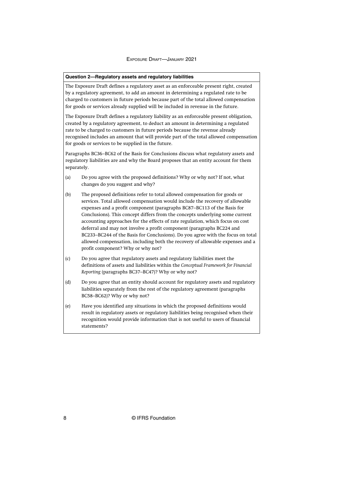#### **Question 2—Regulatory assets and regulatory liabilities**

The Exposure Draft defines a regulatory asset as an enforceable present right, created by a regulatory agreement, to add an amount in determining a regulated rate to be charged to customers in future periods because part of the total allowed compensation for goods or services already supplied will be included in revenue in the future.

The Exposure Draft defines a regulatory liability as an enforceable present obligation, created by a regulatory agreement, to deduct an amount in determining a regulated rate to be charged to customers in future periods because the revenue already recognised includes an amount that will provide part of the total allowed compensation for goods or services to be supplied in the future.

Paragraphs BC36–BC62 of the Basis for Conclusions discuss what regulatory assets and regulatory liabilities are and why the Board proposes that an entity account for them separately.

- (a) Do you agree with the proposed definitions? Why or why not? If not, what changes do you suggest and why?
- (b) The proposed definitions refer to total allowed compensation for goods or services. Total allowed compensation would include the recovery of allowable expenses and a profit component (paragraphs BC87–BC113 of the Basis for Conclusions). This concept differs from the concepts underlying some current accounting approaches for the effects of rate regulation, which focus on cost deferral and may not involve a profit component (paragraphs BC224 and BC233–BC244 of the Basis for Conclusions). Do you agree with the focus on total allowed compensation, including both the recovery of allowable expenses and a profit component? Why or why not?
- (c) Do you agree that regulatory assets and regulatory liabilities meet the definitions of assets and liabilities within the *Conceptual Framework for Financial Reporting* (paragraphs BC37–BC47)? Why or why not?
- (d) Do you agree that an entity should account for regulatory assets and regulatory liabilities separately from the rest of the regulatory agreement (paragraphs BC58–BC62)? Why or why not?
- (e) Have you identified any situations in which the proposed definitions would result in regulatory assets or regulatory liabilities being recognised when their recognition would provide information that is not useful to users of financial statements?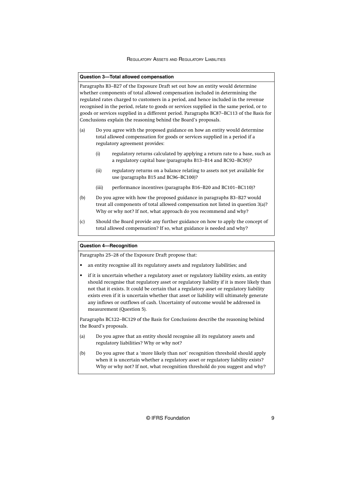#### **Question 3—Total allowed compensation**

Paragraphs B3–B27 of the Exposure Draft set out how an entity would determine whether components of total allowed compensation included in determining the regulated rates charged to customers in a period, and hence included in the revenue recognised in the period, relate to goods or services supplied in the same period, or to goods or services supplied in a different period. Paragraphs BC87–BC113 of the Basis for Conclusions explain the reasoning behind the Board's proposals.

- (a) Do you agree with the proposed guidance on how an entity would determine total allowed compensation for goods or services supplied in a period if a regulatory agreement provides:
	- (i) regulatory returns calculated by applying a return rate to a base, such as a regulatory capital base (paragraphs B13–B14 and BC92–BC95)?
	- (ii) regulatory returns on a balance relating to assets not yet available for use (paragraphs B15 and BC96–BC100)?
	- (iii) performance incentives (paragraphs B16–B20 and BC101–BC110)?
- (b) Do you agree with how the proposed guidance in paragraphs B3–B27 would treat all components of total allowed compensation not listed in question 3(a)? Why or why not? If not, what approach do you recommend and why?
- (c) Should the Board provide any further guidance on how to apply the concept of total allowed compensation? If so, what guidance is needed and why?

#### **Question 4—Recognition**

Paragraphs 25–28 of the Exposure Draft propose that:

- an entity recognise all its regulatory assets and regulatory liabilities; and
- if it is uncertain whether a regulatory asset or regulatory liability exists, an entity should recognise that regulatory asset or regulatory liability if it is more likely than not that it exists. It could be certain that a regulatory asset or regulatory liability exists even if it is uncertain whether that asset or liability will ultimately generate any inflows or outflows of cash. Uncertainty of outcome would be addressed in measurement (Question 5).

Paragraphs BC122–BC129 of the Basis for Conclusions describe the reasoning behind the Board's proposals.

- (a) Do you agree that an entity should recognise all its regulatory assets and regulatory liabilities? Why or why not?
- (b) Do you agree that a 'more likely than not' recognition threshold should apply when it is uncertain whether a regulatory asset or regulatory liability exists? Why or why not? If not, what recognition threshold do you suggest and why?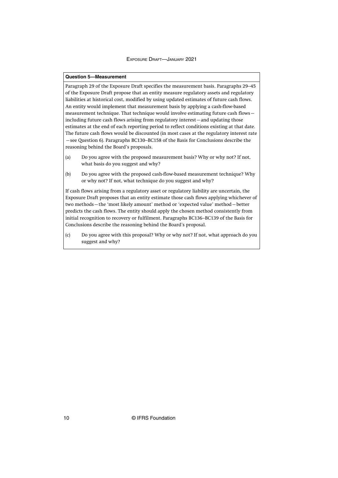#### **Question 5—Measurement**

Paragraph 29 of the Exposure Draft specifies the measurement basis. Paragraphs 29–45 of the Exposure Draft propose that an entity measure regulatory assets and regulatory liabilities at historical cost, modified by using updated estimates of future cash flows. An entity would implement that measurement basis by applying a cash-flow-based measurement technique. That technique would involve estimating future cash flows including future cash flows arising from regulatory interest—and updating those estimates at the end of each reporting period to reflect conditions existing at that date. The future cash flows would be discounted (in most cases at the regulatory interest rate —see Question 6). Paragraphs BC130–BC158 of the Basis for Conclusions describe the reasoning behind the Board's proposals.

- (a) Do you agree with the proposed measurement basis? Why or why not? If not, what basis do you suggest and why?
- (b) Do you agree with the proposed cash-flow-based measurement technique? Why or why not? If not, what technique do you suggest and why?

If cash flows arising from a regulatory asset or regulatory liability are uncertain, the Exposure Draft proposes that an entity estimate those cash flows applying whichever of two methods—the 'most likely amount' method or 'expected value' method—better predicts the cash flows. The entity should apply the chosen method consistently from initial recognition to recovery or fulfilment. Paragraphs BC136–BC139 of the Basis for Conclusions describe the reasoning behind the Board's proposal.

(c) Do you agree with this proposal? Why or why not? If not, what approach do you suggest and why?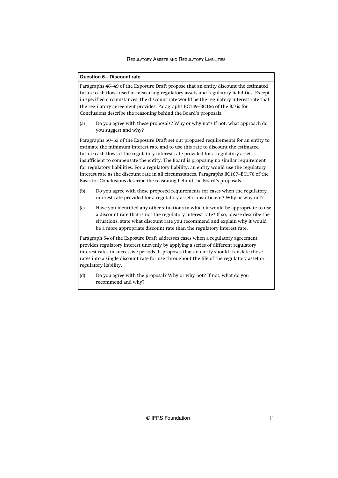#### **Question 6—Discount rate**

Paragraphs 46–49 of the Exposure Draft propose that an entity discount the estimated future cash flows used in measuring regulatory assets and regulatory liabilities. Except in specified circumstances, the discount rate would be the regulatory interest rate that the regulatory agreement provides. Paragraphs BC159–BC166 of the Basis for Conclusions describe the reasoning behind the Board's proposals.

(a) Do you agree with these proposals? Why or why not? If not, what approach do you suggest and why?

Paragraphs 50–53 of the Exposure Draft set out proposed requirements for an entity to estimate the minimum interest rate and to use this rate to discount the estimated future cash flows if the regulatory interest rate provided for a regulatory asset is insufficient to compensate the entity. The Board is proposing no similar requirement for regulatory liabilities. For a regulatory liability, an entity would use the regulatory interest rate as the discount rate in all circumstances. Paragraphs BC167–BC170 of the Basis for Conclusions describe the reasoning behind the Board's proposals.

- (b) Do you agree with these proposed requirements for cases when the regulatory interest rate provided for a regulatory asset is insufficient? Why or why not?
- (c) Have you identified any other situations in which it would be appropriate to use a discount rate that is not the regulatory interest rate? If so, please describe the situations, state what discount rate you recommend and explain why it would be a more appropriate discount rate than the regulatory interest rate.

Paragraph 54 of the Exposure Draft addresses cases when a regulatory agreement provides regulatory interest unevenly by applying a series of different regulatory interest rates in successive periods. It proposes that an entity should translate those rates into a single discount rate for use throughout the life of the regulatory asset or regulatory liability.

(d) Do you agree with the proposal? Why or why not? If not, what do you recommend and why?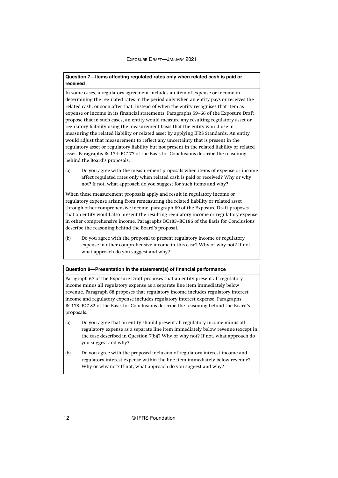# **Question 7—Items affecting regulated rates only when related cash is paid or received**

In some cases, a regulatory agreement includes an item of expense or income in determining the regulated rates in the period only when an entity pays or receives the related cash, or soon after that, instead of when the entity recognises that item as expense or income in its financial statements. Paragraphs 59–66 of the Exposure Draft propose that in such cases, an entity would measure any resulting regulatory asset or regulatory liability using the measurement basis that the entity would use in measuring the related liability or related asset by applying IFRS Standards. An entity would adjust that measurement to reflect any uncertainty that is present in the regulatory asset or regulatory liability but not present in the related liability or related asset. Paragraphs BC174–BC177 of the Basis for Conclusions describe the reasoning behind the Board's proposals.

(a) Do you agree with the measurement proposals when items of expense or income affect regulated rates only when related cash is paid or received? Why or why not? If not, what approach do you suggest for such items and why?

When these measurement proposals apply and result in regulatory income or regulatory expense arising from remeasuring the related liability or related asset through other comprehensive income, paragraph 69 of the Exposure Draft proposes that an entity would also present the resulting regulatory income or regulatory expense in other comprehensive income. Paragraphs BC183–BC186 of the Basis for Conclusions describe the reasoning behind the Board's proposal.

(b) Do you agree with the proposal to present regulatory income or regulatory expense in other comprehensive income in this case? Why or why not? If not, what approach do you suggest and why?

#### **Question 8—Presentation in the statement(s) of financial performance**

Paragraph 67 of the Exposure Draft proposes that an entity present all regulatory income minus all regulatory expense as a separate line item immediately below revenue. Paragraph 68 proposes that regulatory income includes regulatory interest income and regulatory expense includes regulatory interest expense. Paragraphs BC178–BC182 of the Basis for Conclusions describe the reasoning behind the Board's proposals.

- (a) Do you agree that an entity should present all regulatory income minus all regulatory expense as a separate line item immediately below revenue (except in the case described in Question 7(b))? Why or why not? If not, what approach do you suggest and why?
- (b) Do you agree with the proposed inclusion of regulatory interest income and regulatory interest expense within the line item immediately below revenue? Why or why not? If not, what approach do you suggest and why?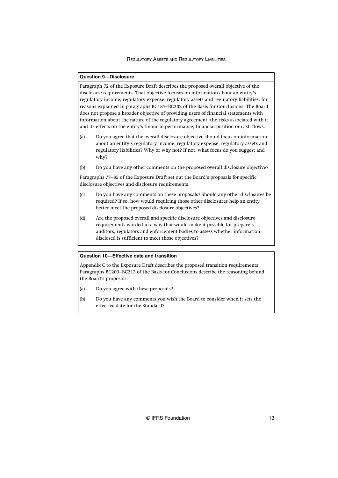#### **Question 9—Disclosure**

Paragraph 72 of the Exposure Draft describes the proposed overall objective of the disclosure requirements. That objective focuses on information about an entity's regulatory income, regulatory expense, regulatory assets and regulatory liabilities, for reasons explained in paragraphs BC187–BC202 of the Basis for Conclusions. The Board does not propose a broader objective of providing users of financial statements with information about the nature of the regulatory agreement, the risks associated with it and its effects on the entity's financial performance, financial position or cash flows.

- (a) Do you agree that the overall disclosure objective should focus on information about an entity's regulatory income, regulatory expense, regulatory assets and regulatory liabilities? Why or why not? If not, what focus do you suggest and why?
- (b) Do you have any other comments on the proposed overall disclosure objective?

Paragraphs 77–83 of the Exposure Draft set out the Board's proposals for specific disclosure objectives and disclosure requirements.

- (c) Do you have any comments on these proposals? Should any other disclosures be required? If so, how would requiring those other disclosures help an entity better meet the proposed disclosure objectives?
- (d) Are the proposed overall and specific disclosure objectives and disclosure requirements worded in a way that would make it possible for preparers, auditors, regulators and enforcement bodies to assess whether information disclosed is sufficient to meet those objectives?

#### **Question 10—Effective date and transition**

Appendix C to the Exposure Draft describes the proposed transition requirements. Paragraphs BC203–BC213 of the Basis for Conclusions describe the reasoning behind the Board's proposals.

- (a) Do you agree with these proposals?
- (b) Do you have any comments you wish the Board to consider when it sets the effective date for the Standard?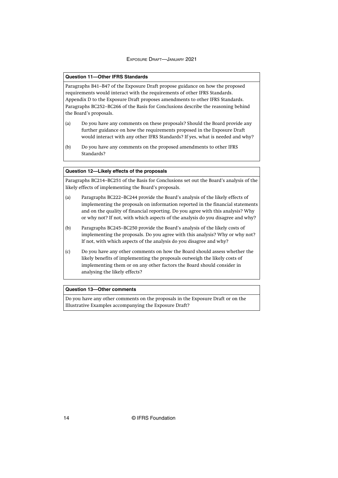#### **Question 11—Other IFRS Standards**

Paragraphs B41–B47 of the Exposure Draft propose guidance on how the proposed requirements would interact with the requirements of other IFRS Standards. Appendix D to the Exposure Draft proposes amendments to other IFRS Standards. Paragraphs BC252–BC266 of the Basis for Conclusions describe the reasoning behind the Board's proposals.

- (a) Do you have any comments on these proposals? Should the Board provide any further guidance on how the requirements proposed in the Exposure Draft would interact with any other IFRS Standards? If yes, what is needed and why?
- (b) Do you have any comments on the proposed amendments to other IFRS Standards?

# **Question 12—Likely effects of the proposals**

Paragraphs BC214–BC251 of the Basis for Conclusions set out the Board's analysis of the likely effects of implementing the Board's proposals.

- (a) Paragraphs BC222–BC244 provide the Board's analysis of the likely effects of implementing the proposals on information reported in the financial statements and on the quality of financial reporting. Do you agree with this analysis? Why or why not? If not, with which aspects of the analysis do you disagree and why?
- (b) Paragraphs BC245–BC250 provide the Board's analysis of the likely costs of implementing the proposals. Do you agree with this analysis? Why or why not? If not, with which aspects of the analysis do you disagree and why?
- (c) Do you have any other comments on how the Board should assess whether the likely benefits of implementing the proposals outweigh the likely costs of implementing them or on any other factors the Board should consider in analysing the likely effects?

#### **Question 13—Other comments**

Do you have any other comments on the proposals in the Exposure Draft or on the Illustrative Examples accompanying the Exposure Draft?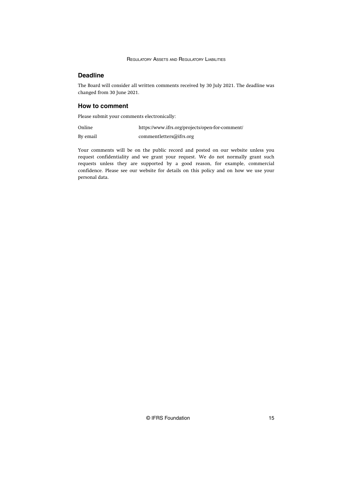# **Deadline**

The Board will consider all written comments received by 30 July 2021. The deadline was changed from 30 June 2021.

# **How to comment**

Please submit your comments electronically:

| Online   | https://www.ifrs.org/projects/open-for-comment/ |  |
|----------|-------------------------------------------------|--|
| By email | commentletters@ifrs.org                         |  |

Your comments will be on the public record and posted on our website unless you request confidentiality and we grant your request. We do not normally grant such requests unless they are supported by a good reason, for example, commercial confidence. Please see our website for details on this policy and on how we use your personal data.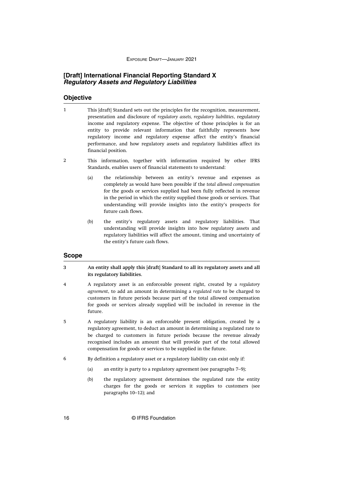# <span id="page-16-0"></span>**[Draft] International Financial Reporting Standard X Regulatory Assets and Regulatory Liabilities**

# **Objective**

- This [draft] Standard sets out the principles for the recognition, measurement, presentation and disclosure of *regulatory assets, regulatory liabilities*, regulatory income and regulatory expense. The objective of those principles is for an entity to provide relevant information that faithfully represents how regulatory income and regulatory expense affect the entity's financial performance, and how regulatory assets and regulatory liabilities affect its financial position. 1
- This information, together with information required by other IFRS Standards, enables users of financial statements to understand: 2
	- (a) the relationship between an entity's revenue and expenses as completely as would have been possible if the *total allowed compensation* for the goods or services supplied had been fully reflected in revenue in the period in which the entity supplied those goods or services. That understanding will provide insights into the entity's prospects for future cash flows.
	- (b) the entity's regulatory assets and regulatory liabilities. That understanding will provide insights into how regulatory assets and regulatory liabilities will affect the amount, timing and uncertainty of the entity's future cash flows.

# **Scope**

- **An entity shall apply this [draft] Standard to all its regulatory assets and all its regulatory liabilities. 3**
- A regulatory asset is an enforceable present right, created by a *regulatory agreement*, to add an amount in determining a *regulated rate* to be charged to customers in future periods because part of the total allowed compensation for goods or services already supplied will be included in revenue in the future. 4
- A regulatory liability is an enforceable present obligation, created by a regulatory agreement, to deduct an amount in determining a regulated rate to be charged to customers in future periods because the revenue already recognised includes an amount that will provide part of the total allowed compensation for goods or services to be supplied in the future. 5
- By definition a regulatory asset or a regulatory liability can exist only if: 6
	- (a) an entity is party to a regulatory agreement (see paragraphs 7–9);
	- (b) the regulatory agreement determines the regulated rate the entity charges for the goods or services it supplies to customers (see paragraphs 10–12); and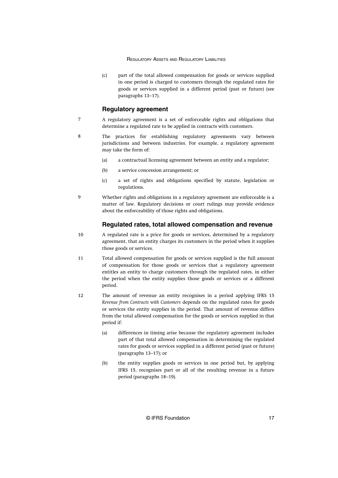<span id="page-17-0"></span>(c) part of the total allowed compensation for goods or services supplied in one period is charged to customers through the regulated rates for goods or services supplied in a different period (past or future) (see paragraphs 13–17).

# **Regulatory agreement**

- A regulatory agreement is a set of enforceable rights and obligations that determine a regulated rate to be applied in contracts with customers. 7
- The practices for establishing regulatory agreements vary between jurisdictions and between industries. For example, a regulatory agreement may take the form of: 8
	- (a) a contractual licensing agreement between an entity and a regulator;
	- (b) a service concession arrangement; or
	- (c) a set of rights and obligations specified by statute, legislation or regulations.
- Whether rights and obligations in a regulatory agreement are enforceable is a matter of law. Regulatory decisions or court rulings may provide evidence about the enforceability of those rights and obligations. 9

# **Regulated rates, total allowed compensation and revenue**

- A regulated rate is a price for goods or services, determined by a regulatory agreement, that an entity charges its customers in the period when it supplies those goods or services. 10
- Total allowed compensation for goods or services supplied is the full amount of compensation for those goods or services that a regulatory agreement entitles an entity to charge customers through the regulated rates, in either the period when the entity supplies those goods or services or a different period. 11
- The amount of revenue an entity recognises in a period applying IFRS 15 *Revenue from Contracts with Customers* depends on the regulated rates for goods or services the entity supplies in the period. That amount of revenue differs from the total allowed compensation for the goods or services supplied in that period if: 12
	- (a) differences in timing arise because the regulatory agreement includes part of that total allowed compensation in determining the regulated rates for goods or services supplied in a different period (past or future) (paragraphs 13–17); or
	- (b) the entity supplies goods or services in one period but, by applying IFRS 15, recognises part or all of the resulting revenue in a future period (paragraphs 18–19).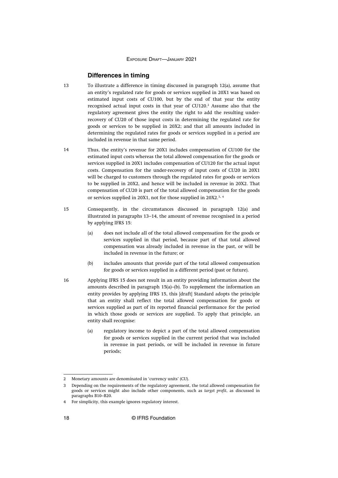# **Differences in timing**

- <span id="page-18-0"></span>To illustrate a difference in timing discussed in paragraph 12(a), assume that an entity's regulated rate for goods or services supplied in 20X1 was based on estimated input costs of CU100, but by the end of that year the entity recognised actual input costs in that year of CU120.<sup>2</sup> Assume also that the regulatory agreement gives the entity the right to add the resulting underrecovery of CU20 of those input costs in determining the regulated rate for goods or services to be supplied in 20X2; and that all amounts included in determining the regulated rates for goods or services supplied in a period are included in revenue in that same period. 13
- Thus, the entity's revenue for 20X1 includes compensation of CU100 for the estimated input costs whereas the total allowed compensation for the goods or services supplied in 20X1 includes compensation of CU120 for the actual input costs. Compensation for the under-recovery of input costs of CU20 in 20X1 will be charged to customers through the regulated rates for goods or services to be supplied in 20X2, and hence will be included in revenue in 20X2. That compensation of CU20 is part of the total allowed compensation for the goods or services supplied in 20X1, not for those supplied in 20X2.<sup>3</sup>, <sup>4</sup> 14
- Consequently, in the circumstances discussed in paragraph 12(a) and illustrated in paragraphs 13–14, the amount of revenue recognised in a period by applying IFRS 15: 15
	- (a) does not include all of the total allowed compensation for the goods or services supplied in that period, because part of that total allowed compensation was already included in revenue in the past, or will be included in revenue in the future; or
	- (b) includes amounts that provide part of the total allowed compensation for goods or services supplied in a different period (past or future).
- Applying IFRS 15 does not result in an entity providing information about the amounts described in paragraph 15(a)–(b). To supplement the information an entity provides by applying IFRS 15, this [draft] Standard adopts the principle that an entity shall reflect the total allowed compensation for goods or services supplied as part of its reported financial performance for the period in which those goods or services are supplied. To apply that principle, an entity shall recognise: 16
	- (a) regulatory income to depict a part of the total allowed compensation for goods or services supplied in the current period that was included in revenue in past periods, or will be included in revenue in future periods;

<sup>2</sup> Monetary amounts are denominated in 'currency units' (CU).

<sup>3</sup> Depending on the requirements of the regulatory agreement, the total allowed compensation for goods or services might also include other components, such as *target profit*, as discussed in paragraphs B10–B20.

<sup>4</sup> For simplicity, this example ignores regulatory interest.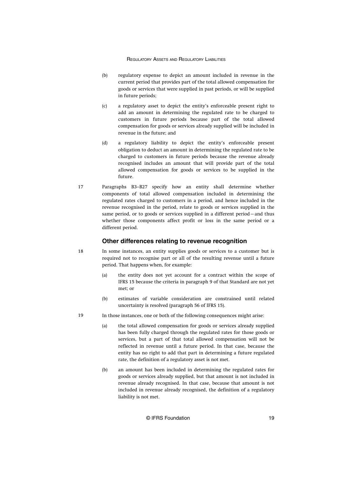- <span id="page-19-0"></span>(b) regulatory expense to depict an amount included in revenue in the current period that provides part of the total allowed compensation for goods or services that were supplied in past periods, or will be supplied in future periods;
- (c) a regulatory asset to depict the entity's enforceable present right to add an amount in determining the regulated rate to be charged to customers in future periods because part of the total allowed compensation for goods or services already supplied will be included in revenue in the future; and
- (d) a regulatory liability to depict the entity's enforceable present obligation to deduct an amount in determining the regulated rate to be charged to customers in future periods because the revenue already recognised includes an amount that will provide part of the total allowed compensation for goods or services to be supplied in the future.
- Paragraphs B3–B27 specify how an entity shall determine whether components of total allowed compensation included in determining the regulated rates charged to customers in a period, and hence included in the revenue recognised in the period, relate to goods or services supplied in the same period, or to goods or services supplied in a different period—and thus whether those components affect profit or loss in the same period or a different period. 17

# **Other differences relating to revenue recognition**

18

- In some instances, an entity supplies goods or services to a customer but is required not to recognise part or all of the resulting revenue until a future period. That happens when, for example:
	- (a) the entity does not yet account for a contract within the scope of IFRS 15 because the criteria in paragraph 9 of that Standard are not yet met; or
	- (b) estimates of variable consideration are constrained until related uncertainty is resolved (paragraph 56 of IFRS 15).
- In those instances, one or both of the following consequences might arise: 19
	- (a) the total allowed compensation for goods or services already supplied has been fully charged through the regulated rates for those goods or services, but a part of that total allowed compensation will not be reflected in revenue until a future period. In that case, because the entity has no right to add that part in determining a future regulated rate, the definition of a regulatory asset is not met.
	- (b) an amount has been included in determining the regulated rates for goods or services already supplied, but that amount is not included in revenue already recognised. In that case, because that amount is not included in revenue already recognised, the definition of a regulatory liability is not met.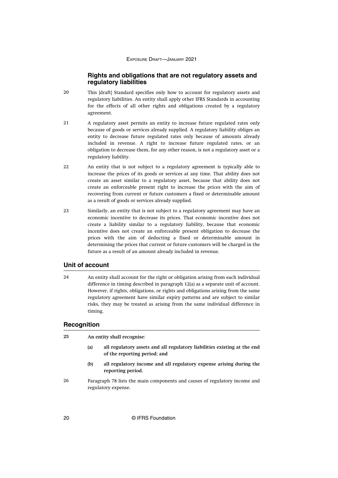# **Rights and obligations that are not regulatory assets and regulatory liabilities**

- <span id="page-20-0"></span>This [draft] Standard specifies only how to account for regulatory assets and regulatory liabilities. An entity shall apply other IFRS Standards in accounting for the effects of all other rights and obligations created by a regulatory agreement. 20
- A regulatory asset permits an entity to increase future regulated rates only because of goods or services already supplied. A regulatory liability obliges an entity to decrease future regulated rates only because of amounts already included in revenue. A right to increase future regulated rates, or an obligation to decrease them, for any other reason, is not a regulatory asset or a regulatory liability. 21
- An entity that is not subject to a regulatory agreement is typically able to increase the prices of its goods or services at any time. That ability does not create an asset similar to a regulatory asset, because that ability does not create an enforceable present right to increase the prices with the aim of recovering from current or future customers a fixed or determinable amount as a result of goods or services already supplied. 22
- Similarly, an entity that is not subject to a regulatory agreement may have an economic incentive to decrease its prices. That economic incentive does not create a liability similar to a regulatory liability, because that economic incentive does not create an enforceable present obligation to decrease the prices with the aim of deducting a fixed or determinable amount in determining the prices that current or future customers will be charged in the future as a result of an amount already included in revenue. 23

# **Unit of account**

An entity shall account for the right or obligation arising from each individual difference in timing described in paragraph 12(a) as a separate unit of account. However, if rights, obligations, or rights and obligations arising from the same regulatory agreement have similar expiry patterns and are subject to similar risks, they may be treated as arising from the same individual difference in timing. 24

# **Recognition**

| 25 | An entity shall recognise: |                                                                                                          |  |
|----|----------------------------|----------------------------------------------------------------------------------------------------------|--|
|    | (a)                        | all regulatory assets and all regulatory liabilities existing at the end<br>of the reporting period; and |  |
|    | (b)                        | all regulatory income and all regulatory expense arising during the<br>reporting period.                 |  |
| 26 |                            | Paragraph 78 lists the main components and causes of regulatory income and<br>regulatory expense.        |  |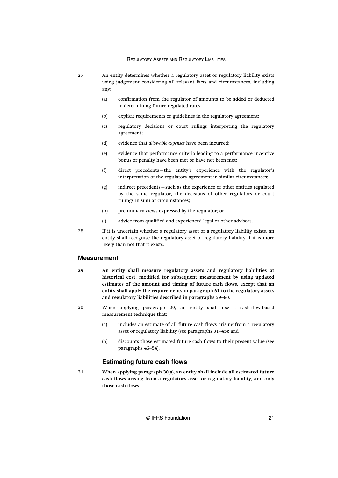- <span id="page-21-0"></span>An entity determines whether a regulatory asset or regulatory liability exists using judgement considering all relevant facts and circumstances, including any: 27
	- (a) confirmation from the regulator of amounts to be added or deducted in determining future regulated rates;
	- (b) explicit requirements or guidelines in the regulatory agreement;
	- (c) regulatory decisions or court rulings interpreting the regulatory agreement;
	- (d) evidence that *allowable expenses* have been incurred;
	- (e) evidence that performance criteria leading to a performance incentive bonus or penalty have been met or have not been met;
	- (f) direct precedents—the entity's experience with the regulator's interpretation of the regulatory agreement in similar circumstances;
	- (g) indirect precedents—such as the experience of other entities regulated by the same regulator, the decisions of other regulators or court rulings in similar circumstances;
	- (h) preliminary views expressed by the regulator; or
	- (i) advice from qualified and experienced legal or other advisors.
- If it is uncertain whether a regulatory asset or a regulatory liability exists, an entity shall recognise the regulatory asset or regulatory liability if it is more likely than not that it exists. 28

# **Measurement**

- **An entity shall measure regulatory assets and regulatory liabilities at historical cost, modified for subsequent measurement by using updated estimates of the amount and timing of future cash flows, except that an entity shall apply the requirements in paragraph 61 to the regulatory assets and regulatory liabilities described in paragraphs 59–60. 29**
- When applying paragraph 29, an entity shall use a cash-flow-based measurement technique that: 30
	- (a) includes an estimate of all future cash flows arising from a regulatory asset or regulatory liability (see paragraphs 31–45); and
	- (b) discounts those estimated future cash flows to their present value (see paragraphs 46–54).

# **Estimating future cash flows**

**When applying paragraph 30(a), an entity shall include all estimated future cash flows arising from a regulatory asset or regulatory liability, and only those cash flows. 31**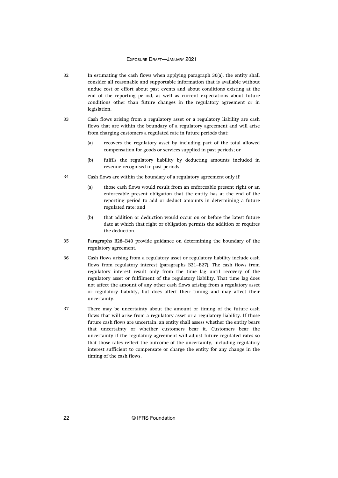- In estimating the cash flows when applying paragraph 30(a), the entity shall consider all reasonable and supportable information that is available without undue cost or effort about past events and about conditions existing at the end of the reporting period, as well as current expectations about future conditions other than future changes in the regulatory agreement or in legislation. 32
- Cash flows arising from a regulatory asset or a regulatory liability are cash flows that are within the boundary of a regulatory agreement and will arise from charging customers a regulated rate in future periods that: 33
	- (a) recovers the regulatory asset by including part of the total allowed compensation for goods or services supplied in past periods; or
	- (b) fulfils the regulatory liability by deducting amounts included in revenue recognised in past periods.
- Cash flows are within the boundary of a regulatory agreement only if: 34
	- (a) those cash flows would result from an enforceable present right or an enforceable present obligation that the entity has at the end of the reporting period to add or deduct amounts in determining a future regulated rate; and
	- (b) that addition or deduction would occur on or before the latest future date at which that right or obligation permits the addition or requires the deduction.
- Paragraphs B28–B40 provide guidance on determining the boundary of the regulatory agreement. 35
- Cash flows arising from a regulatory asset or regulatory liability include cash flows from regulatory interest (paragraphs B21–B27). The cash flows from regulatory interest result only from the time lag until recovery of the regulatory asset or fulfilment of the regulatory liability. That time lag does not affect the amount of any other cash flows arising from a regulatory asset or regulatory liability, but does affect their timing and may affect their uncertainty. 36
- There may be uncertainty about the amount or timing of the future cash flows that will arise from a regulatory asset or a regulatory liability. If those future cash flows are uncertain, an entity shall assess whether the entity bears that uncertainty or whether customers bear it. Customers bear the uncertainty if the regulatory agreement will adjust future regulated rates so that those rates reflect the outcome of the uncertainty, including regulatory interest sufficient to compensate or charge the entity for any change in the timing of the cash flows. 37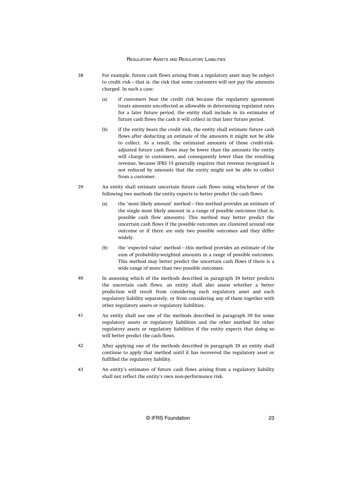- For example, future cash flows arising from a regulatory asset may be subject to credit risk—that is, the risk that some customers will not pay the amounts charged. In such a case: 38
	- (a) if customers bear the credit risk because the regulatory agreement treats amounts uncollected as allowable in determining regulated rates for a later future period, the entity shall include in its estimates of future cash flows the cash it will collect in that later future period.
	- (b) if the entity bears the credit risk, the entity shall estimate future cash flows after deducting an estimate of the amounts it might not be able to collect. As a result, the estimated amounts of those credit-riskadjusted future cash flows may be lower than the amounts the entity will charge to customers, and consequently lower than the resulting revenue, because IFRS 15 generally requires that revenue recognised is not reduced by amounts that the entity might not be able to collect from a customer.
- An entity shall estimate uncertain future cash flows using whichever of the following two methods the entity expects to better predict the cash flows: 39
	- (a) the 'most likely amount' method—this method provides an estimate of the single most likely amount in a range of possible outcomes (that is, possible cash flow amounts). This method may better predict the uncertain cash flows if the possible outcomes are clustered around one outcome or if there are only two possible outcomes and they differ widely.
	- (b) the 'expected value' method—this method provides an estimate of the sum of probability-weighted amounts in a range of possible outcomes. This method may better predict the uncertain cash flows if there is a wide range of more than two possible outcomes.
- In assessing which of the methods described in paragraph 39 better predicts the uncertain cash flows, an entity shall also assess whether a better prediction will result from considering each regulatory asset and each regulatory liability separately, or from considering any of them together with other regulatory assets or regulatory liabilities. 40
- An entity shall use one of the methods described in paragraph 39 for some regulatory assets or regulatory liabilities and the other method for other regulatory assets or regulatory liabilities if the entity expects that doing so will better predict the cash flows. 41
- After applying one of the methods described in paragraph 39 an entity shall continue to apply that method until it has recovered the regulatory asset or fulfilled the regulatory liability. 42
- An entity's estimates of future cash flows arising from a regulatory liability shall not reflect the entity's own non-performance risk. 43

© IFRS Foundation 23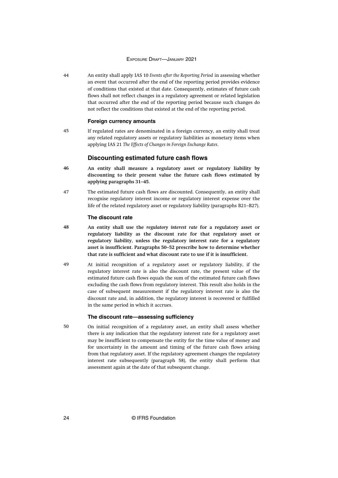<span id="page-24-0"></span>An entity shall apply IAS 10 *Events after the Reporting Period* in assessing whether an event that occurred after the end of the reporting period provides evidence of conditions that existed at that date. Consequently, estimates of future cash flows shall not reflect changes in a regulatory agreement or related legislation that occurred after the end of the reporting period because such changes do not reflect the conditions that existed at the end of the reporting period. 44

# **Foreign currency amounts**

If regulated rates are denominated in a foreign currency, an entity shall treat any related regulatory assets or regulatory liabilities as monetary items when applying IAS 21 *The Effects of Changes in Foreign Exchange Rates*. 45

#### **Discounting estimated future cash flows**

- **An entity shall measure a regulatory asset or regulatory liability by discounting to their present value the future cash flows estimated by applying paragraphs 31–45. 46**
- The estimated future cash flows are discounted. Consequently, an entity shall recognise regulatory interest income or regulatory interest expense over the life of the related regulatory asset or regulatory liability (paragraphs B21–B27). 47

# **The discount rate**

- **An entity shall use the** *regulatory interest rate* **for a regulatory asset or regulatory liability as the discount rate for that regulatory asset or regulatory liability, unless the regulatory interest rate for a regulatory asset is insufficient. Paragraphs 50–52 prescribe how to determine whether that rate is sufficient and what discount rate to use if it is insufficient. 48**
- At initial recognition of a regulatory asset or regulatory liability, if the regulatory interest rate is also the discount rate, the present value of the estimated future cash flows equals the sum of the estimated future cash flows excluding the cash flows from regulatory interest. This result also holds in the case of subsequent measurement if the regulatory interest rate is also the discount rate and, in addition, the regulatory interest is recovered or fulfilled in the same period in which it accrues. 49

#### **The discount rate—assessing sufficiency**

On initial recognition of a regulatory asset, an entity shall assess whether there is any indication that the regulatory interest rate for a regulatory asset may be insufficient to compensate the entity for the time value of money and for uncertainty in the amount and timing of the future cash flows arising from that regulatory asset. If the regulatory agreement changes the regulatory interest rate subsequently (paragraph 58), the entity shall perform that assessment again at the date of that subsequent change.

50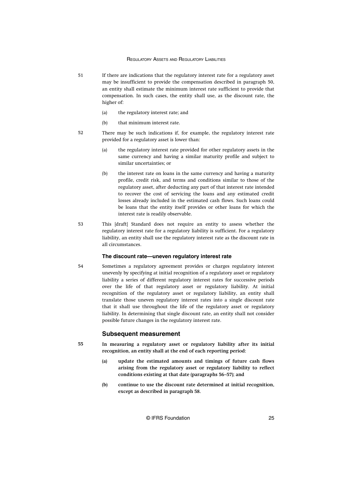- <span id="page-25-0"></span>If there are indications that the regulatory interest rate for a regulatory asset may be insufficient to provide the compensation described in paragraph 50, an entity shall estimate the minimum interest rate sufficient to provide that compensation. In such cases, the entity shall use, as the discount rate, the higher of: 51
	- (a) the regulatory interest rate; and
	- (b) that minimum interest rate.
- There may be such indications if, for example, the regulatory interest rate provided for a regulatory asset is lower than: 52
	- (a) the regulatory interest rate provided for other regulatory assets in the same currency and having a similar maturity profile and subject to similar uncertainties; or
	- (b) the interest rate on loans in the same currency and having a maturity profile, credit risk, and terms and conditions similar to those of the regulatory asset, after deducting any part of that interest rate intended to recover the cost of servicing the loans and any estimated credit losses already included in the estimated cash flows. Such loans could be loans that the entity itself provides or other loans for which the interest rate is readily observable.
- This [draft] Standard does not require an entity to assess whether the regulatory interest rate for a regulatory liability is sufficient. For a regulatory liability, an entity shall use the regulatory interest rate as the discount rate in all circumstances. 53

# **The discount rate—uneven regulatory interest rate**

Sometimes a regulatory agreement provides or charges regulatory interest unevenly by specifying at initial recognition of a regulatory asset or regulatory liability a series of different regulatory interest rates for successive periods over the life of that regulatory asset or regulatory liability. At initial recognition of the regulatory asset or regulatory liability, an entity shall translate those uneven regulatory interest rates into a single discount rate that it shall use throughout the life of the regulatory asset or regulatory liability. In determining that single discount rate, an entity shall not consider possible future changes in the regulatory interest rate. 54

#### **Subsequent measurement**

- **In measuring a regulatory asset or regulatory liability after its initial recognition, an entity shall at the end of each reporting period: 55**
	- **(a) update the estimated amounts and timings of future cash flows arising from the regulatory asset or regulatory liability to reflect conditions existing at that date (paragraphs 56–57); and**
	- **(b) continue to use the discount rate determined at initial recognition, except as described in paragraph 58.**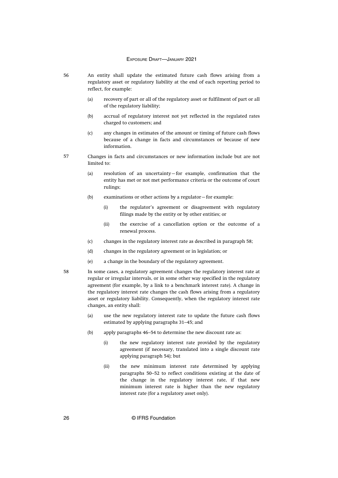- An entity shall update the estimated future cash flows arising from a regulatory asset or regulatory liability at the end of each reporting period to reflect, for example:
	- (a) recovery of part or all of the regulatory asset or fulfilment of part or all of the regulatory liability;
	- (b) accrual of regulatory interest not yet reflected in the regulated rates charged to customers; and
	- (c) any changes in estimates of the amount or timing of future cash flows because of a change in facts and circumstances or because of new information.
- Changes in facts and circumstances or new information include but are not limited to: 57
	- (a) resolution of an uncertainty—for example, confirmation that the entity has met or not met performance criteria or the outcome of court rulings;
	- (b) examinations or other actions by a regulator—for example:
		- (i) the regulator's agreement or disagreement with regulatory filings made by the entity or by other entities; or
		- (ii) the exercise of a cancellation option or the outcome of a renewal process.
	- (c) changes in the regulatory interest rate as described in paragraph 58;
	- (d) changes in the regulatory agreement or in legislation; or
	- (e) a change in the boundary of the regulatory agreement.
	- In some cases, a regulatory agreement changes the regulatory interest rate at regular or irregular intervals, or in some other way specified in the regulatory agreement (for example, by a link to a benchmark interest rate). A change in the regulatory interest rate changes the cash flows arising from a regulatory asset or regulatory liability. Consequently, when the regulatory interest rate changes, an entity shall:
		- (a) use the new regulatory interest rate to update the future cash flows estimated by applying paragraphs 31–45; and
		- (b) apply paragraphs 46–54 to determine the new discount rate as:
			- (i) the new regulatory interest rate provided by the regulatory agreement (if necessary, translated into a single discount rate applying paragraph 54); but
			- (ii) the new minimum interest rate determined by applying paragraphs 50–52 to reflect conditions existing at the date of the change in the regulatory interest rate, if that new minimum interest rate is higher than the new regulatory interest rate (for a regulatory asset only).

56

58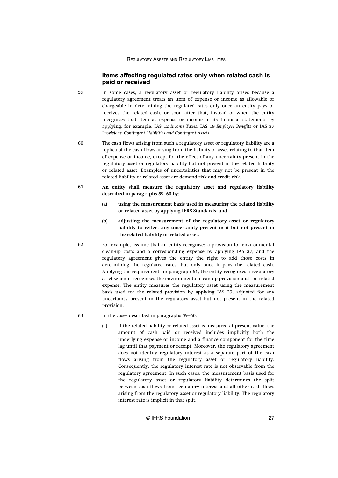# **Items affecting regulated rates only when related cash is paid or received**

- <span id="page-27-0"></span>In some cases, a regulatory asset or regulatory liability arises because a regulatory agreement treats an item of expense or income as allowable or chargeable in determining the regulated rates only once an entity pays or receives the related cash, or soon after that, instead of when the entity recognises that item as expense or income in its financial statements by applying, for example, IAS 12 *Income Taxes*, IAS 19 *Employee Benefits* or IAS 37 *Provisions, Contingent Liabilities and Contingent Assets*. 59
- The cash flows arising from such a regulatory asset or regulatory liability are a replica of the cash flows arising from the liability or asset relating to that item of expense or income, except for the effect of any uncertainty present in the regulatory asset or regulatory liability but not present in the related liability or related asset. Examples of uncertainties that may not be present in the related liability or related asset are demand risk and credit risk. 60
- **An entity shall measure the regulatory asset and regulatory liability described in paragraphs 59–60 by: 61**
	- **(a) using the measurement basis used in measuring the related liability or related asset by applying IFRS Standards; and**
	- **(b) adjusting the measurement of the regulatory asset or regulatory liability to reflect any uncertainty present in it but not present in the related liability or related asset.**
- For example, assume that an entity recognises a provision for environmental clean-up costs and a corresponding expense by applying IAS 37, and the regulatory agreement gives the entity the right to add those costs in determining the regulated rates, but only once it pays the related cash. Applying the requirements in paragraph 61, the entity recognises a regulatory asset when it recognises the environmental clean-up provision and the related expense. The entity measures the regulatory asset using the measurement basis used for the related provision by applying IAS 37, adjusted for any uncertainty present in the regulatory asset but not present in the related provision. 62
- In the cases described in paragraphs 59–60: 63
	- (a) if the related liability or related asset is measured at present value, the amount of cash paid or received includes implicitly both the underlying expense or income and a finance component for the time lag until that payment or receipt. Moreover, the regulatory agreement does not identify regulatory interest as a separate part of the cash flows arising from the regulatory asset or regulatory liability. Consequently, the regulatory interest rate is not observable from the regulatory agreement. In such cases, the measurement basis used for the regulatory asset or regulatory liability determines the split between cash flows from regulatory interest and all other cash flows arising from the regulatory asset or regulatory liability. The regulatory interest rate is implicit in that split.

© IFRS Foundation 27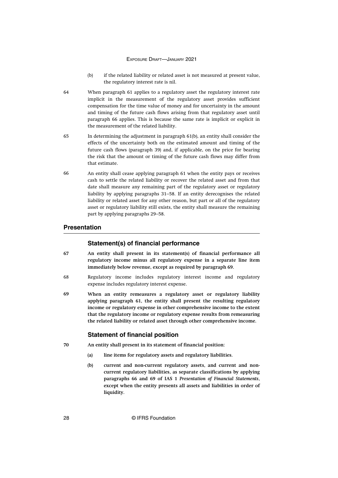- (b) if the related liability or related asset is not measured at present value, the regulatory interest rate is nil.
- <span id="page-28-0"></span>When paragraph 61 applies to a regulatory asset the regulatory interest rate implicit in the measurement of the regulatory asset provides sufficient compensation for the time value of money and for uncertainty in the amount and timing of the future cash flows arising from that regulatory asset until paragraph 66 applies. This is because the same rate is implicit or explicit in the measurement of the related liability. 64
- In determining the adjustment in paragraph 61(b), an entity shall consider the effects of the uncertainty both on the estimated amount and timing of the future cash flows (paragraph 39) and, if applicable, on the price for bearing the risk that the amount or timing of the future cash flows may differ from that estimate. 65
- An entity shall cease applying paragraph 61 when the entity pays or receives cash to settle the related liability or recover the related asset and from that date shall measure any remaining part of the regulatory asset or regulatory liability by applying paragraphs 31–58. If an entity derecognises the related liability or related asset for any other reason, but part or all of the regulatory asset or regulatory liability still exists, the entity shall measure the remaining part by applying paragraphs 29–58. 66

# **Presentation**

#### **Statement(s) of financial performance**

- **An entity shall present in its statement(s) of financial performance all regulatory income minus all regulatory expense in a separate line item immediately below revenue, except as required by paragraph 69. 67**
- Regulatory income includes regulatory interest income and regulatory expense includes regulatory interest expense. 68
- **When an entity remeasures a regulatory asset or regulatory liability applying paragraph 61, the entity shall present the resulting regulatory income or regulatory expense in other comprehensive income to the extent that the regulatory income or regulatory expense results from remeasuring the related liability or related asset through other comprehensive income. 69**

# **Statement of financial position**

- **An entity shall present in its statement of financial position: 70**
	- **(a) line items for regulatory assets and regulatory liabilities.**
	- **(b) current and non-current regulatory assets, and current and noncurrent regulatory liabilities, as separate classifications by applying paragraphs 66 and 69 of IAS 1** *Presentation of Financial Statements***, except when the entity presents all assets and liabilities in order of liquidity.**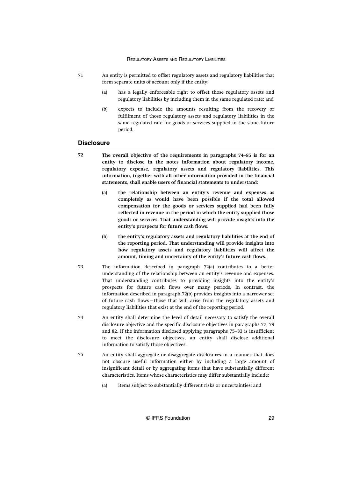- <span id="page-29-0"></span>An entity is permitted to offset regulatory assets and regulatory liabilities that form separate units of account only if the entity: 71
	- (a) has a legally enforceable right to offset those regulatory assets and regulatory liabilities by including them in the same regulated rate; and
	- (b) expects to include the amounts resulting from the recovery or fulfilment of those regulatory assets and regulatory liabilities in the same regulated rate for goods or services supplied in the same future period.

# **Disclosure**

- **The overall objective of the requirements in paragraphs 74–85 is for an entity to disclose in the notes information about regulatory income, regulatory expense, regulatory assets and regulatory liabilities. This information, together with all other information provided in the financial statements, shall enable users of financial statements to understand: 72**
	- **(a) the relationship between an entity's revenue and expenses as completely as would have been possible if the total allowed compensation for the goods or services supplied had been fully reflected in revenue in the period in which the entity supplied those goods or services. That understanding will provide insights into the entity's prospects for future cash flows.**
	- **(b) the entity's regulatory assets and regulatory liabilities at the end of the reporting period. That understanding will provide insights into how regulatory assets and regulatory liabilities will affect the amount, timing and uncertainty of the entity's future cash flows.**
- The information described in paragraph 72(a) contributes to a better understanding of the relationship between an entity's revenue and expenses. That understanding contributes to providing insights into the entity's prospects for future cash flows over many periods. In contrast, the information described in paragraph 72(b) provides insights into a narrower set of future cash flows—those that will arise from the regulatory assets and regulatory liabilities that exist at the end of the reporting period. 73
- An entity shall determine the level of detail necessary to satisfy the overall disclosure objective and the specific disclosure objectives in paragraphs 77, 79 and 82. If the information disclosed applying paragraphs 75–83 is insufficient to meet the disclosure objectives, an entity shall disclose additional information to satisfy those objectives. 74
- An entity shall aggregate or disaggregate disclosures in a manner that does not obscure useful information either by including a large amount of insignificant detail or by aggregating items that have substantially different characteristics. Items whose characteristics may differ substantially include: 75
	- (a) items subject to substantially different risks or uncertainties; and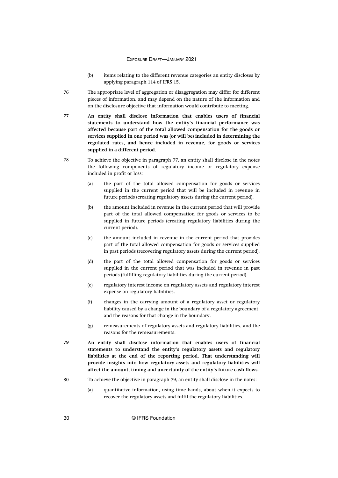- (b) items relating to the different revenue categories an entity discloses by applying paragraph 114 of IFRS 15.
- The appropriate level of aggregation or disaggregation may differ for different pieces of information, and may depend on the nature of the information and on the disclosure objective that information would contribute to meeting. 76
- **An entity shall disclose information that enables users of financial statements to understand how the entity's financial performance was affected because part of the total allowed compensation for the goods or services supplied in one period was (or will be) included in determining the regulated rates, and hence included in revenue, for goods or services supplied in a different period. 77**
- To achieve the objective in paragraph 77, an entity shall disclose in the notes the following components of regulatory income or regulatory expense included in profit or loss: 78
	- (a) the part of the total allowed compensation for goods or services supplied in the current period that will be included in revenue in future periods (creating regulatory assets during the current period).
	- (b) the amount included in revenue in the current period that will provide part of the total allowed compensation for goods or services to be supplied in future periods (creating regulatory liabilities during the current period).
	- (c) the amount included in revenue in the current period that provides part of the total allowed compensation for goods or services supplied in past periods (recovering regulatory assets during the current period).
	- (d) the part of the total allowed compensation for goods or services supplied in the current period that was included in revenue in past periods (fulfilling regulatory liabilities during the current period).
	- (e) regulatory interest income on regulatory assets and regulatory interest expense on regulatory liabilities.
	- (f) changes in the carrying amount of a regulatory asset or regulatory liability caused by a change in the boundary of a regulatory agreement, and the reasons for that change in the boundary.
	- (g) remeasurements of regulatory assets and regulatory liabilities, and the reasons for the remeasurements.
- **An entity shall disclose information that enables users of financial statements to understand the entity's regulatory assets and regulatory liabilities at the end of the reporting period. That understanding will provide insights into how regulatory assets and regulatory liabilities will affect the amount, timing and uncertainty of the entity's future cash flows. 79**
- To achieve the objective in paragraph 79, an entity shall disclose in the notes: 80
	- (a) quantitative information, using time bands, about when it expects to recover the regulatory assets and fulfil the regulatory liabilities.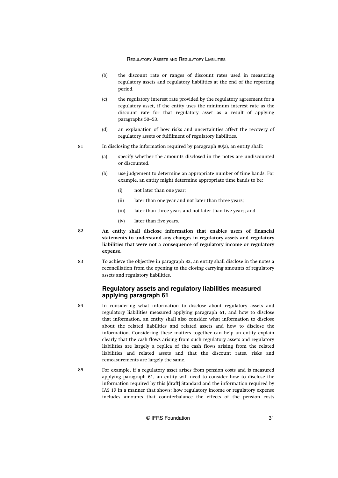- <span id="page-31-0"></span>(b) the discount rate or ranges of discount rates used in measuring regulatory assets and regulatory liabilities at the end of the reporting period.
- (c) the regulatory interest rate provided by the regulatory agreement for a regulatory asset, if the entity uses the minimum interest rate as the discount rate for that regulatory asset as a result of applying paragraphs 50–53.
- (d) an explanation of how risks and uncertainties affect the recovery of regulatory assets or fulfilment of regulatory liabilities.
- In disclosing the information required by paragraph 80(a), an entity shall: 81
	- (a) specify whether the amounts disclosed in the notes are undiscounted or discounted.
	- (b) use judgement to determine an appropriate number of time bands. For example, an entity might determine appropriate time bands to be:
		- (i) not later than one year;
		- (ii) later than one year and not later than three years;
		- (iii) later than three years and not later than five years; and
		- (iv) later than five years.
- **An entity shall disclose information that enables users of financial statements to understand any changes in regulatory assets and regulatory liabilities that were not a consequence of regulatory income or regulatory expense. 82**
- To achieve the objective in paragraph 82, an entity shall disclose in the notes a reconciliation from the opening to the closing carrying amounts of regulatory assets and regulatory liabilities. 83

# **Regulatory assets and regulatory liabilities measured applying paragraph 61**

- In considering what information to disclose about regulatory assets and regulatory liabilities measured applying paragraph 61, and how to disclose that information, an entity shall also consider what information to disclose about the related liabilities and related assets and how to disclose the information. Considering these matters together can help an entity explain clearly that the cash flows arising from such regulatory assets and regulatory liabilities are largely a replica of the cash flows arising from the related liabilities and related assets and that the discount rates, risks and remeasurements are largely the same. 84
- For example, if a regulatory asset arises from pension costs and is measured applying paragraph 61, an entity will need to consider how to disclose the information required by this [draft] Standard and the information required by IAS 19 in a manner that shows: how regulatory income or regulatory expense includes amounts that counterbalance the effects of the pension costs 85

© IFRS Foundation 31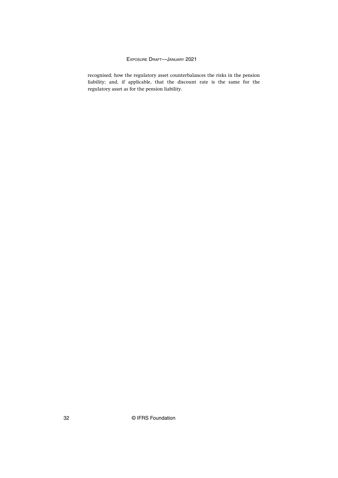recognised; how the regulatory asset counterbalances the risks in the pension liability; and, if applicable, that the discount rate is the same for the regulatory asset as for the pension liability.

32 © IFRS Foundation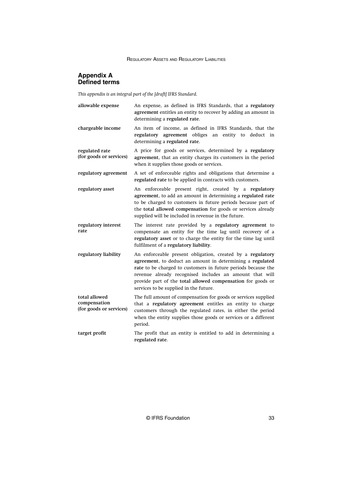# <span id="page-33-0"></span>**Appendix A Defined terms**

*This appendix is an integral part of the [draft] IFRS Standard.*

| allowable expense                                        | An expense, as defined in IFRS Standards, that a regulatory<br>agreement entitles an entity to recover by adding an amount in<br>determining a regulated rate.                                                                                                                                                                                               |
|----------------------------------------------------------|--------------------------------------------------------------------------------------------------------------------------------------------------------------------------------------------------------------------------------------------------------------------------------------------------------------------------------------------------------------|
| chargeable income                                        | An item of income, as defined in IFRS Standards, that the<br>regulatory agreement obliges an entity to deduct in<br>determining a regulated rate.                                                                                                                                                                                                            |
| regulated rate<br>(for goods or services)                | A price for goods or services, determined by a regulatory<br>agreement, that an entity charges its customers in the period<br>when it supplies those goods or services.                                                                                                                                                                                      |
| regulatory agreement                                     | A set of enforceable rights and obligations that determine a<br>regulated rate to be applied in contracts with customers.                                                                                                                                                                                                                                    |
| regulatory asset                                         | An enforceable present right, created by a regulatory<br>agreement, to add an amount in determining a regulated rate<br>to be charged to customers in future periods because part of<br>the total allowed compensation for goods or services already<br>supplied will be included in revenue in the future.                                                  |
| regulatory interest<br>rate                              | The interest rate provided by a regulatory agreement to<br>compensate an entity for the time lag until recovery of a<br>regulatory asset or to charge the entity for the time lag until<br>fulfilment of a regulatory liability.                                                                                                                             |
| regulatory liability                                     | An enforceable present obligation, created by a regulatory<br>agreement, to deduct an amount in determining a regulated<br>rate to be charged to customers in future periods because the<br>revenue already recognised includes an amount that will<br>provide part of the total allowed compensation for goods or<br>services to be supplied in the future. |
| total allowed<br>compensation<br>(for goods or services) | The full amount of compensation for goods or services supplied<br>that a regulatory agreement entitles an entity to charge<br>customers through the regulated rates, in either the period<br>when the entity supplies those goods or services or a different<br>period.                                                                                      |
| target profit                                            | The profit that an entity is entitled to add in determining a<br>regulated rate.                                                                                                                                                                                                                                                                             |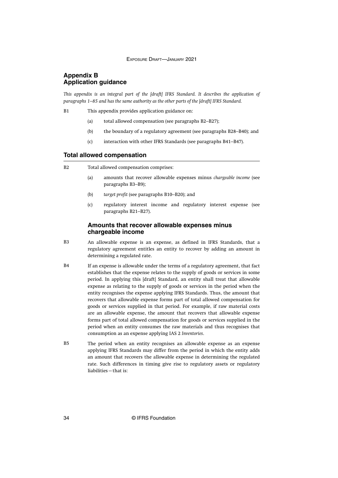# <span id="page-34-0"></span>**Appendix B Application guidance**

*This appendix is an integral part of the [draft] IFRS Standard. It describes the application of paragraphs 1–85 and has the same authority as the other parts of the [draft] IFRS Standard.*

This appendix provides application guidance on: B1

- (a) total allowed compensation (see paragraphs B2–B27);
- (b) the boundary of a regulatory agreement (see paragraphs B28–B40); and
- (c) interaction with other IFRS Standards (see paragraphs B41–B47).

#### **Total allowed compensation**

- Total allowed compensation comprises: B2
	- (a) amounts that recover allowable expenses minus *chargeable income* (see paragraphs B3–B9);
	- (b) *target profit* (see paragraphs B10–B20); and
	- (c) regulatory interest income and regulatory interest expense (see paragraphs B21–B27).

# **Amounts that recover allowable expenses minus chargeable income**

- An allowable expense is an expense, as defined in IFRS Standards, that a regulatory agreement entitles an entity to recover by adding an amount in determining a regulated rate. B3
- If an expense is allowable under the terms of a regulatory agreement, that fact establishes that the expense relates to the supply of goods or services in some period. In applying this [draft] Standard, an entity shall treat that allowable expense as relating to the supply of goods or services in the period when the entity recognises the expense applying IFRS Standards. Thus, the amount that recovers that allowable expense forms part of total allowed compensation for goods or services supplied in that period. For example, if raw material costs are an allowable expense, the amount that recovers that allowable expense forms part of total allowed compensation for goods or services supplied in the period when an entity consumes the raw materials and thus recognises that consumption as an expense applying IAS 2 *Inventories*.  $R4$
- The period when an entity recognises an allowable expense as an expense applying IFRS Standards may differ from the period in which the entity adds an amount that recovers the allowable expense in determining the regulated rate. Such differences in timing give rise to regulatory assets or regulatory liabilities—that is: B5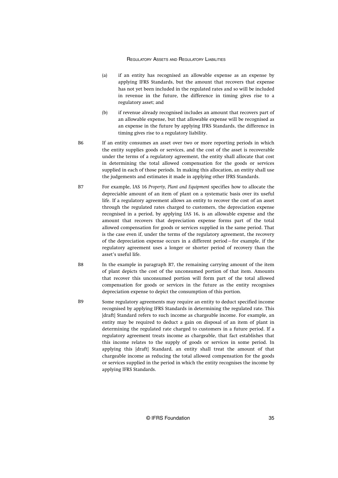- (a) if an entity has recognised an allowable expense as an expense by applying IFRS Standards, but the amount that recovers that expense has not yet been included in the regulated rates and so will be included in revenue in the future, the difference in timing gives rise to a regulatory asset; and
- (b) if revenue already recognised includes an amount that recovers part of an allowable expense, but that allowable expense will be recognised as an expense in the future by applying IFRS Standards, the difference in timing gives rise to a regulatory liability.
- If an entity consumes an asset over two or more reporting periods in which the entity supplies goods or services, and the cost of the asset is recoverable under the terms of a regulatory agreement, the entity shall allocate that cost in determining the total allowed compensation for the goods or services supplied in each of those periods. In making this allocation, an entity shall use the judgements and estimates it made in applying other IFRS Standards. **R<sub>6</sub>**
- For example, IAS 16 *Property, Plant and Equipment* specifies how to allocate the depreciable amount of an item of plant on a systematic basis over its useful life. If a regulatory agreement allows an entity to recover the cost of an asset through the regulated rates charged to customers, the depreciation expense recognised in a period, by applying IAS 16, is an allowable expense and the amount that recovers that depreciation expense forms part of the total allowed compensation for goods or services supplied in the same period. That is the case even if, under the terms of the regulatory agreement, the recovery of the depreciation expense occurs in a different period—for example, if the regulatory agreement uses a longer or shorter period of recovery than the asset's useful life. B7
- In the example in paragraph B7, the remaining carrying amount of the item of plant depicts the cost of the unconsumed portion of that item. Amounts that recover this unconsumed portion will form part of the total allowed compensation for goods or services in the future as the entity recognises depreciation expense to depict the consumption of this portion. B8
- Some regulatory agreements may require an entity to deduct specified income recognised by applying IFRS Standards in determining the regulated rate. This [draft] Standard refers to such income as chargeable income. For example, an entity may be required to deduct a gain on disposal of an item of plant in determining the regulated rate charged to customers in a future period. If a regulatory agreement treats income as chargeable, that fact establishes that this income relates to the supply of goods or services in some period. In applying this [draft] Standard, an entity shall treat the amount of that chargeable income as reducing the total allowed compensation for the goods or services supplied in the period in which the entity recognises the income by applying IFRS Standards. B9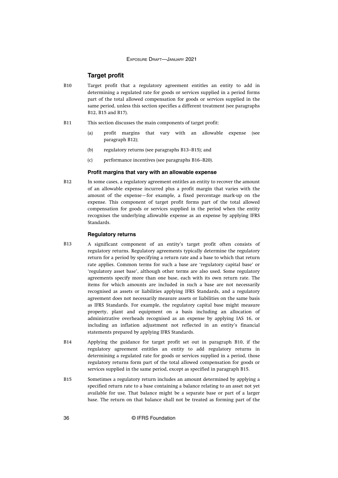# **Target profit**

- Target profit that a regulatory agreement entitles an entity to add in determining a regulated rate for goods or services supplied in a period forms part of the total allowed compensation for goods or services supplied in the same period, unless this section specifies a different treatment (see paragraphs B12, B15 and B17). B10
- This section discusses the main components of target profit: B11
	- (a) profit margins that vary with an allowable expense (see paragraph B12);
	- (b) regulatory returns (see paragraphs B13–B15); and
	- (c) performance incentives (see paragraphs B16–B20).

#### **Profit margins that vary with an allowable expense**

In some cases, a regulatory agreement entitles an entity to recover the amount of an allowable expense incurred plus a profit margin that varies with the amount of the expense—for example, a fixed percentage mark-up on the expense. This component of target profit forms part of the total allowed compensation for goods or services supplied in the period when the entity recognises the underlying allowable expense as an expense by applying IFRS Standards. B12

# **Regulatory returns**

- A significant component of an entity's target profit often consists of regulatory returns. Regulatory agreements typically determine the regulatory return for a period by specifying a return rate and a base to which that return rate applies. Common terms for such a base are 'regulatory capital base' or 'regulatory asset base', although other terms are also used. Some regulatory agreements specify more than one base, each with its own return rate. The items for which amounts are included in such a base are not necessarily recognised as assets or liabilities applying IFRS Standards, and a regulatory agreement does not necessarily measure assets or liabilities on the same basis as IFRS Standards. For example, the regulatory capital base might measure property, plant and equipment on a basis including an allocation of administrative overheads recognised as an expense by applying IAS 16, or including an inflation adjustment not reflected in an entity's financial statements prepared by applying IFRS Standards. B13
- Applying the guidance for target profit set out in paragraph B10, if the regulatory agreement entitles an entity to add regulatory returns in determining a regulated rate for goods or services supplied in a period, those regulatory returns form part of the total allowed compensation for goods or services supplied in the same period, except as specified in paragraph B15. **B14**
- Sometimes a regulatory return includes an amount determined by applying a specified return rate to a base containing a balance relating to an asset not yet available for use. That balance might be a separate base or part of a larger base. The return on that balance shall not be treated as forming part of the B15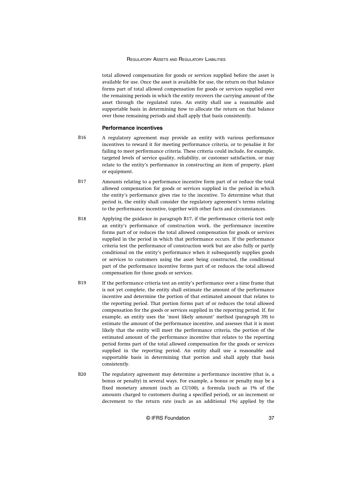total allowed compensation for goods or services supplied before the asset is available for use. Once the asset is available for use, the return on that balance forms part of total allowed compensation for goods or services supplied over the remaining periods in which the entity recovers the carrying amount of the asset through the regulated rates. An entity shall use a reasonable and supportable basis in determining how to allocate the return on that balance over those remaining periods and shall apply that basis consistently.

#### **Performance incentives**

- A regulatory agreement may provide an entity with various performance incentives to reward it for meeting performance criteria, or to penalise it for failing to meet performance criteria. These criteria could include, for example, targeted levels of service quality, reliability, or customer satisfaction, or may relate to the entity's performance in constructing an item of property, plant or equipment. B16
- Amounts relating to a performance incentive form part of or reduce the total allowed compensation for goods or services supplied in the period in which the entity's performance gives rise to the incentive. To determine what that period is, the entity shall consider the regulatory agreement's terms relating to the performance incentive, together with other facts and circumstances. B17
- Applying the guidance in paragraph B17, if the performance criteria test only an entity's performance of construction work, the performance incentive forms part of or reduces the total allowed compensation for goods or services supplied in the period in which that performance occurs. If the performance criteria test the performance of construction work but are also fully or partly conditional on the entity's performance when it subsequently supplies goods or services to customers using the asset being constructed, the conditional part of the performance incentive forms part of or reduces the total allowed compensation for those goods or services. B18
- If the performance criteria test an entity's performance over a time frame that is not yet complete, the entity shall estimate the amount of the performance incentive and determine the portion of that estimated amount that relates to the reporting period. That portion forms part of or reduces the total allowed compensation for the goods or services supplied in the reporting period. If, for example, an entity uses the 'most likely amount' method (paragraph 39) to estimate the amount of the performance incentive, and assesses that it is most likely that the entity will meet the performance criteria, the portion of the estimated amount of the performance incentive that relates to the reporting period forms part of the total allowed compensation for the goods or services supplied in the reporting period. An entity shall use a reasonable and supportable basis in determining that portion and shall apply that basis consistently. B19
- The regulatory agreement may determine a performance incentive (that is, a bonus or penalty) in several ways. For example, a bonus or penalty may be a fixed monetary amount (such as CU100), a formula (such as 1% of the amounts charged to customers during a specified period), or an increment or decrement to the return rate (such as an additional 1%) applied by the B20

© IFRS Foundation 37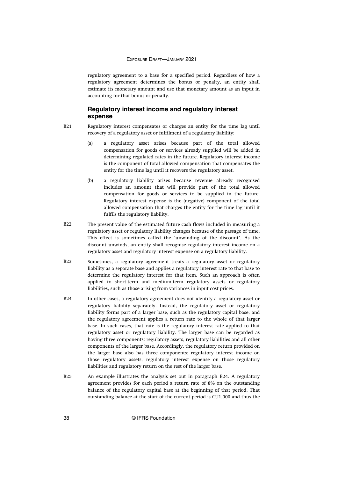regulatory agreement to a base for a specified period. Regardless of how a regulatory agreement determines the bonus or penalty, an entity shall estimate its monetary amount and use that monetary amount as an input in accounting for that bonus or penalty.

# **Regulatory interest income and regulatory interest expense**

- Regulatory interest compensates or charges an entity for the time lag until recovery of a regulatory asset or fulfilment of a regulatory liability: B21
	- (a) a regulatory asset arises because part of the total allowed compensation for goods or services already supplied will be added in determining regulated rates in the future. Regulatory interest income is the component of total allowed compensation that compensates the entity for the time lag until it recovers the regulatory asset.
	- (b) a regulatory liability arises because revenue already recognised includes an amount that will provide part of the total allowed compensation for goods or services to be supplied in the future. Regulatory interest expense is the (negative) component of the total allowed compensation that charges the entity for the time lag until it fulfils the regulatory liability.
- The present value of the estimated future cash flows included in measuring a regulatory asset or regulatory liability changes because of the passage of time. This effect is sometimes called the 'unwinding of the discount'. As the discount unwinds, an entity shall recognise regulatory interest income on a regulatory asset and regulatory interest expense on a regulatory liability. B22
- Sometimes, a regulatory agreement treats a regulatory asset or regulatory liability as a separate base and applies a regulatory interest rate to that base to determine the regulatory interest for that item. Such an approach is often applied to short-term and medium-term regulatory assets or regulatory liabilities, such as those arising from variances in input cost prices. B23
- In other cases, a regulatory agreement does not identify a regulatory asset or regulatory liability separately. Instead, the regulatory asset or regulatory liability forms part of a larger base, such as the regulatory capital base, and the regulatory agreement applies a return rate to the whole of that larger base. In such cases, that rate is the regulatory interest rate applied to that regulatory asset or regulatory liability. The larger base can be regarded as having three components: regulatory assets, regulatory liabilities and all other components of the larger base. Accordingly, the regulatory return provided on the larger base also has three components: regulatory interest income on those regulatory assets, regulatory interest expense on those regulatory liabilities and regulatory return on the rest of the larger base. B24
- An example illustrates the analysis set out in paragraph B24. A regulatory agreement provides for each period a return rate of 8% on the outstanding balance of the regulatory capital base at the beginning of that period. That outstanding balance at the start of the current period is CU1,000 and thus the B25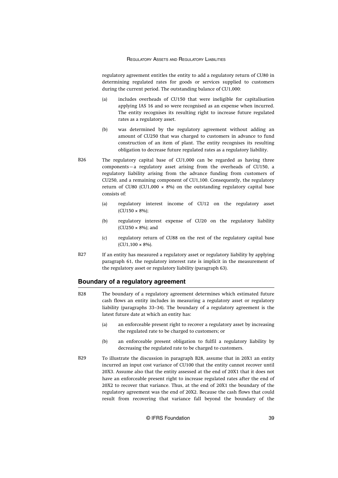regulatory agreement entitles the entity to add a regulatory return of CU80 in determining regulated rates for goods or services supplied to customers during the current period. The outstanding balance of CU1,000:

- (a) includes overheads of CU150 that were ineligible for capitalisation applying IAS 16 and so were recognised as an expense when incurred. The entity recognises its resulting right to increase future regulated rates as a regulatory asset.
- (b) was determined by the regulatory agreement without adding an amount of CU250 that was charged to customers in advance to fund construction of an item of plant. The entity recognises its resulting obligation to decrease future regulated rates as a regulatory liability.
- The regulatory capital base of CU1,000 can be regarded as having three components—a regulatory asset arising from the overheads of CU150, a regulatory liability arising from the advance funding from customers of CU250, and a remaining component of CU1,100. Consequently, the regulatory return of CU80 (CU1,000  $\times$  8%) on the outstanding regulatory capital base consists of: B26
	- (a) regulatory interest income of CU12 on the regulatory asset (CU150 × 8%);
	- (b) regulatory interest expense of CU20 on the regulatory liability  $(CU250 \times 8\%)$ ; and
	- (c) regulatory return of CU88 on the rest of the regulatory capital base  $(CU1,100 \times 8\%)$ .
- If an entity has measured a regulatory asset or regulatory liability by applying paragraph 61, the regulatory interest rate is implicit in the measurement of the regulatory asset or regulatory liability (paragraph 63). B27

# **Boundary of a regulatory agreement**

- The boundary of a regulatory agreement determines which estimated future cash flows an entity includes in measuring a regulatory asset or regulatory liability (paragraphs 33–34). The boundary of a regulatory agreement is the latest future date at which an entity has: B28
	- (a) an enforceable present right to recover a regulatory asset by increasing the regulated rate to be charged to customers; or
	- (b) an enforceable present obligation to fulfil a regulatory liability by decreasing the regulated rate to be charged to customers.
- To illustrate the discussion in paragraph B28, assume that in 20X1 an entity incurred an input cost variance of CU100 that the entity cannot recover until 20X3. Assume also that the entity assessed at the end of 20X1 that it does not have an enforceable present right to increase regulated rates after the end of 20X2 to recover that variance. Thus, at the end of 20X1 the boundary of the regulatory agreement was the end of 20X2. Because the cash flows that could result from recovering that variance fall beyond the boundary of the **B<sub>20</sub>**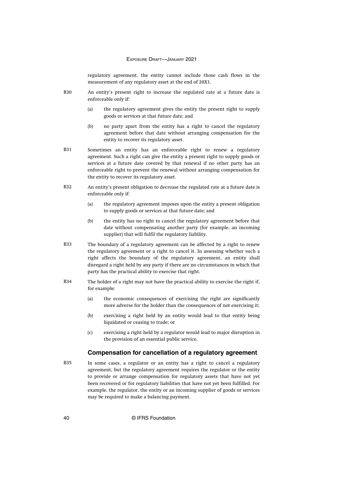regulatory agreement, the entity cannot include those cash flows in the measurement of any regulatory asset at the end of 20X1.

- An entity's present right to increase the regulated rate at a future date is enforceable only if: B30
	- (a) the regulatory agreement gives the entity the present right to supply goods or services at that future date; and
	- (b) no party apart from the entity has a right to cancel the regulatory agreement before that date without arranging compensation for the entity to recover its regulatory asset.
- Sometimes an entity has an enforceable right to renew a regulatory agreement. Such a right can give the entity a present right to supply goods or services at a future date covered by that renewal if no other party has an enforceable right to prevent the renewal without arranging compensation for the entity to recover its regulatory asset. B31
- An entity's present obligation to decrease the regulated rate at a future date is enforceable only if: B32
	- (a) the regulatory agreement imposes upon the entity a present obligation to supply goods or services at that future date; and
	- (b) the entity has no right to cancel the regulatory agreement before that date without compensating another party (for example, an incoming supplier) that will fulfil the regulatory liability.
- The boundary of a regulatory agreement can be affected by a right to renew the regulatory agreement or a right to cancel it. In assessing whether such a right affects the boundary of the regulatory agreement, an entity shall disregard a right held by any party if there are no circumstances in which that party has the practical ability to exercise that right. B33
- The holder of a right may not have the practical ability to exercise the right if, for example:  $B34$ 
	- (a) the economic consequences of exercising the right are significantly more adverse for the holder than the consequences of not exercising it;
	- (b) exercising a right held by an entity would lead to that entity being liquidated or ceasing to trade; or
	- (c) exercising a right held by a regulator would lead to major disruption in the provision of an essential public service.

# **Compensation for cancellation of a regulatory agreement**

In some cases, a regulator or an entity has a right to cancel a regulatory agreement, but the regulatory agreement requires the regulator or the entity to provide or arrange compensation for regulatory assets that have not yet been recovered or for regulatory liabilities that have not yet been fulfilled. For example, the regulator, the entity or an incoming supplier of goods or services may be required to make a balancing payment. B35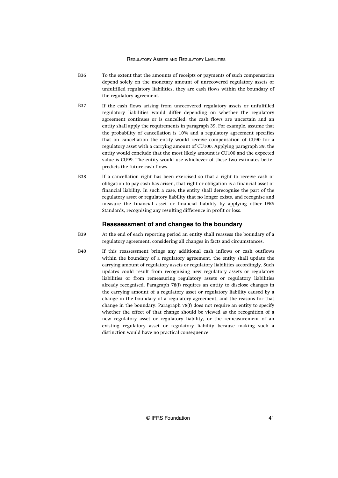- To the extent that the amounts of receipts or payments of such compensation depend solely on the monetary amount of unrecovered regulatory assets or unfulfilled regulatory liabilities, they are cash flows within the boundary of the regulatory agreement. B36
- If the cash flows arising from unrecovered regulatory assets or unfulfilled regulatory liabilities would differ depending on whether the regulatory agreement continues or is cancelled, the cash flows are uncertain and an entity shall apply the requirements in paragraph 39. For example, assume that the probability of cancellation is 10% and a regulatory agreement specifies that on cancellation the entity would receive compensation of CU90 for a regulatory asset with a carrying amount of CU100. Applying paragraph 39, the entity would conclude that the most likely amount is CU100 and the expected value is CU99. The entity would use whichever of these two estimates better predicts the future cash flows. B37
- If a cancellation right has been exercised so that a right to receive cash or obligation to pay cash has arisen, that right or obligation is a financial asset or financial liability. In such a case, the entity shall derecognise the part of the regulatory asset or regulatory liability that no longer exists, and recognise and measure the financial asset or financial liability by applying other IFRS Standards, recognising any resulting difference in profit or loss. B38

# **Reassessment of and changes to the boundary**

- At the end of each reporting period an entity shall reassess the boundary of a regulatory agreement, considering all changes in facts and circumstances. B39
- If this reassessment brings any additional cash inflows or cash outflows within the boundary of a regulatory agreement, the entity shall update the carrying amount of regulatory assets or regulatory liabilities accordingly. Such updates could result from recognising new regulatory assets or regulatory liabilities or from remeasuring regulatory assets or regulatory liabilities already recognised. Paragraph 78(f) requires an entity to disclose changes in the carrying amount of a regulatory asset or regulatory liability caused by a change in the boundary of a regulatory agreement, and the reasons for that change in the boundary. Paragraph 78(f) does not require an entity to specify whether the effect of that change should be viewed as the recognition of a new regulatory asset or regulatory liability, or the remeasurement of an existing regulatory asset or regulatory liability because making such a distinction would have no practical consequence. B40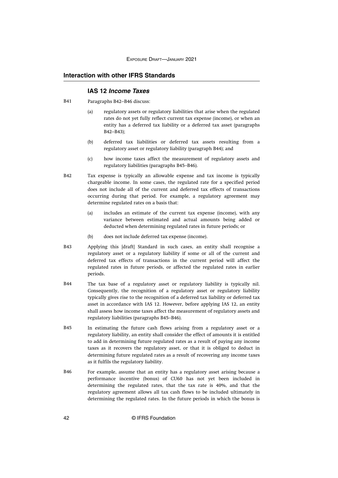# **Interaction with other IFRS Standards**

# **IAS 12 Income Taxes**

- Paragraphs B42–B46 discuss: B41
	- (a) regulatory assets or regulatory liabilities that arise when the regulated rates do not yet fully reflect current tax expense (income), or when an entity has a deferred tax liability or a deferred tax asset (paragraphs B42–B43);
	- (b) deferred tax liabilities or deferred tax assets resulting from a regulatory asset or regulatory liability (paragraph B44); and
	- (c) how income taxes affect the measurement of regulatory assets and regulatory liabilities (paragraphs B45–B46).
- Tax expense is typically an allowable expense and tax income is typically chargeable income. In some cases, the regulated rate for a specified period does not include all of the current and deferred tax effects of transactions occurring during that period. For example, a regulatory agreement may determine regulated rates on a basis that: B42
	- (a) includes an estimate of the current tax expense (income), with any variance between estimated and actual amounts being added or deducted when determining regulated rates in future periods; or
	- (b) does not include deferred tax expense (income).
- Applying this [draft] Standard in such cases, an entity shall recognise a regulatory asset or a regulatory liability if some or all of the current and deferred tax effects of transactions in the current period will affect the regulated rates in future periods, or affected the regulated rates in earlier periods. B43
- The tax base of a regulatory asset or regulatory liability is typically nil. Consequently, the recognition of a regulatory asset or regulatory liability typically gives rise to the recognition of a deferred tax liability or deferred tax asset in accordance with IAS 12. However, before applying IAS 12, an entity shall assess how income taxes affect the measurement of regulatory assets and regulatory liabilities (paragraphs B45–B46). B44
- In estimating the future cash flows arising from a regulatory asset or a regulatory liability, an entity shall consider the effect of amounts it is entitled to add in determining future regulated rates as a result of paying any income taxes as it recovers the regulatory asset, or that it is obliged to deduct in determining future regulated rates as a result of recovering any income taxes as it fulfils the regulatory liability. B45
- For example, assume that an entity has a regulatory asset arising because a performance incentive (bonus) of CU60 has not yet been included in determining the regulated rates, that the tax rate is 40%, and that the regulatory agreement allows all tax cash flows to be included ultimately in determining the regulated rates. In the future periods in which the bonus is B46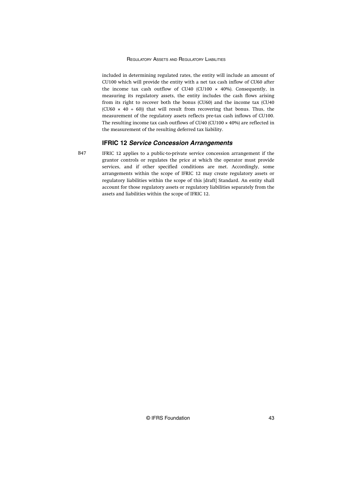included in determining regulated rates, the entity will include an amount of CU100 which will provide the entity with a net tax cash inflow of CU60 after the income tax cash outflow of CU40 (CU100  $\times$  40%). Consequently, in measuring its regulatory assets, the entity includes the cash flows arising from its right to recover both the bonus (CU60) and the income tax (CU40 (CU60  $\times$  40 ÷ 60)) that will result from recovering that bonus. Thus, the measurement of the regulatory assets reflects pre-tax cash inflows of CU100. The resulting income tax cash outflows of CU40 (CU100 × 40%) are reflected in the measurement of the resulting deferred tax liability.

#### **IFRIC 12 Service Concession Arrangements**

B47

IFRIC 12 applies to a public-to-private service concession arrangement if the grantor controls or regulates the price at which the operator must provide services, and if other specified conditions are met. Accordingly, some arrangements within the scope of IFRIC 12 may create regulatory assets or regulatory liabilities within the scope of this [draft] Standard. An entity shall account for those regulatory assets or regulatory liabilities separately from the assets and liabilities within the scope of IFRIC 12.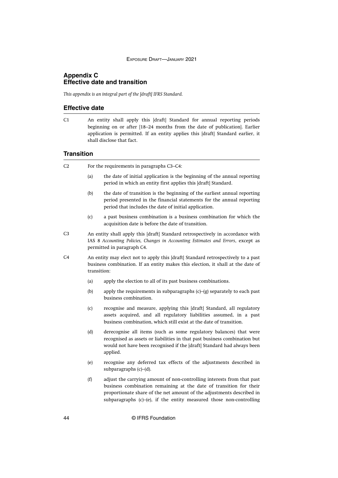# <span id="page-44-0"></span>**Appendix C Effective date and transition**

*This appendix is an integral part of the [draft] IFRS Standard.*

For the requirements in paragraphs C3–C4:

# **Effective date**

An entity shall apply this [draft] Standard for annual reporting periods beginning on or after [18–24 months from the date of publication]. Earlier application is permitted. If an entity applies this [draft] Standard earlier, it shall disclose that fact.  $C1$ 

# **Transition**

 $C<sub>2</sub>$ 

|                | (a)                                                                                                                                                                                | the date of initial application is the beginning of the annual reporting<br>period in which an entity first applies this [draft] Standard.                                                                                                                                                   |  |
|----------------|------------------------------------------------------------------------------------------------------------------------------------------------------------------------------------|----------------------------------------------------------------------------------------------------------------------------------------------------------------------------------------------------------------------------------------------------------------------------------------------|--|
|                | (b)                                                                                                                                                                                | the date of transition is the beginning of the earliest annual reporting<br>period presented in the financial statements for the annual reporting<br>period that includes the date of initial application.                                                                                   |  |
|                | (c)                                                                                                                                                                                | a past business combination is a business combination for which the<br>acquisition date is before the date of transition.                                                                                                                                                                    |  |
| C <sub>3</sub> |                                                                                                                                                                                    | An entity shall apply this [draft] Standard retrospectively in accordance with<br>IAS 8 Accounting Policies, Changes in Accounting Estimates and Errors, except as<br>permitted in paragraph C4.                                                                                             |  |
| C4             | An entity may elect not to apply this [draft] Standard retrospectively to a past<br>business combination. If an entity makes this election, it shall at the date of<br>transition: |                                                                                                                                                                                                                                                                                              |  |
|                | (a)                                                                                                                                                                                | apply the election to all of its past business combinations.                                                                                                                                                                                                                                 |  |
|                | (b)                                                                                                                                                                                | apply the requirements in subparagraphs $(c)$ – $(g)$ separately to each past<br>business combination.                                                                                                                                                                                       |  |
|                | (c)                                                                                                                                                                                | recognise and measure, applying this [draft] Standard, all regulatory<br>assets acquired, and all regulatory liabilities assumed, in a past<br>business combination, which still exist at the date of transition.                                                                            |  |
|                | (d)                                                                                                                                                                                | derecognise all items (such as some regulatory balances) that were<br>recognised as assets or liabilities in that past business combination but<br>would not have been recognised if the [draft] Standard had always been<br>applied.                                                        |  |
|                | (e)                                                                                                                                                                                | recognise any deferred tax effects of the adjustments described in<br>subparagraphs $(c)$ – $(d)$ .                                                                                                                                                                                          |  |
|                | (f)                                                                                                                                                                                | adjust the carrying amount of non-controlling interests from that past<br>business combination remaining at the date of transition for their<br>proportionate share of the net amount of the adjustments described in<br>subparagraphs (c)-(e), if the entity measured those non-controlling |  |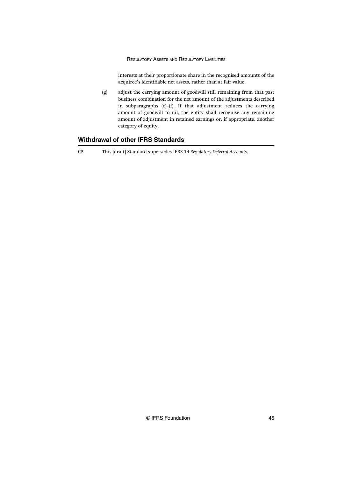interests at their proportionate share in the recognised amounts of the acquiree's identifiable net assets, rather than at fair value.

(g) adjust the carrying amount of goodwill still remaining from that past business combination for the net amount of the adjustments described in subparagraphs (c)–(f). If that adjustment reduces the carrying amount of goodwill to nil, the entity shall recognise any remaining amount of adjustment in retained earnings or, if appropriate, another category of equity.

# **Withdrawal of other IFRS Standards**

C5 This [draft] Standard supersedes IFRS 14 *Regulatory Deferral Accounts*.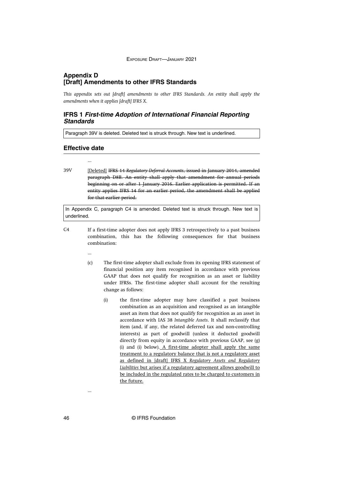# <span id="page-46-0"></span>**Appendix D [Draft] Amendments to other IFRS Standards**

*This appendix sets out [draft] amendments to other IFRS Standards. An entity shall apply the amendments when it applies [draft] IFRS X.*

# **IFRS 1 First-time Adoption of International Financial Reporting Standards**

Paragraph 39V is deleted. Deleted text is struck through. New text is underlined.

#### **Effective date**

...

...

...

[Deleted] IFRS 14 *Regulatory Deferral Accounts*, issued in January 2014, amended paragraph D8B. An entity shall apply that amendment for annual periods beginning on or after 1 January 2016. Earlier application is permitted. If an entity applies IFRS 14 for an earlier period, the amendment shall be applied for that earlier period. 39V

In Appendix C, paragraph C4 is amended. Deleted text is struck through. New text is underlined.

- If a first-time adopter does not apply IFRS 3 retrospectively to a past business combination, this has the following consequences for that business combination:  $C<sub>4</sub>$ 
	- (c) The first-time adopter shall exclude from its opening IFRS statement of financial position any item recognised in accordance with previous GAAP that does not qualify for recognition as an asset or liability under IFRSs. The first-time adopter shall account for the resulting change as follows:
		- (i) the first-time adopter may have classified a past business combination as an acquisition and recognised as an intangible asset an item that does not qualify for recognition as an asset in accordance with IAS 38 *Intangible Assets*. It shall reclassify that item (and, if any, the related deferred tax and non-controlling interests) as part of goodwill (unless it deducted goodwill directly from equity in accordance with previous GAAP, see (g) (i) and (i) below). A first-time adopter shall apply the same treatment to a regulatory balance that is not a regulatory asset as defined in [draft] IFRS X *Regulatory Assets and Regulatory Liabilities* but arises if a regulatory agreement allows goodwill to be included in the regulated rates to be charged to customers in the future.

46 © IFRS Foundation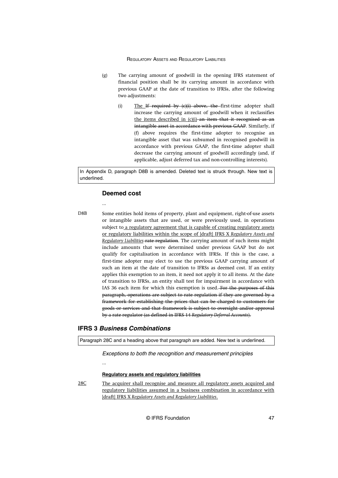- (g) The carrying amount of goodwill in the opening IFRS statement of financial position shall be its carrying amount in accordance with previous GAAP at the date of transition to IFRSs, after the following two adjustments:
	- (i) The If required by  $(c)(i)$  above, the first-time adopter shall increase the carrying amount of goodwill when it reclassifies the items described in (c)(i) an item that it recognised as an intangible asset in accordance with previous GAAP. Similarly, if (f) above requires the first-time adopter to recognise an intangible asset that was subsumed in recognised goodwill in accordance with previous GAAP, the first-time adopter shall decrease the carrying amount of goodwill accordingly (and, if applicable, adjust deferred tax and non-controlling interests).

In Appendix D, paragraph D8B is amended. Deleted text is struck through. New text is underlined.

#### **Deemed cost**

...

D8B

Some entities hold items of property, plant and equipment, right-of-use assets or intangible assets that are used, or were previously used, in operations subject to a regulatory agreement that is capable of creating regulatory assets or regulatory liabilities within the scope of [draft] IFRS X *Regulatory Assets and Regulatory Liabilities*-rate regulation. The carrying amount of such items might include amounts that were determined under previous GAAP but do not qualify for capitalisation in accordance with IFRSs. If this is the case, a first-time adopter may elect to use the previous GAAP carrying amount of such an item at the date of transition to IFRSs as deemed cost. If an entity applies this exemption to an item, it need not apply it to all items. At the date of transition to IFRSs, an entity shall test for impairment in accordance with IAS 36 each item for which this exemption is used. For the purposes of this paragraph, operations are subject to rate regulation if they are governed by a framework for establishing the prices that can be charged to customers for goods or services and that framework is subject to oversight and/or approval by a rate regulator (as defined in IFRS 14 *Regulatory Deferral Accounts*).

# **IFRS 3 Business Combinations**

...

Paragraph 28C and a heading above that paragraph are added. New text is underlined.

Exceptions to both the recognition and measurement principles

#### **Regulatory assets and regulatory liabilities**

The acquirer shall recognise and measure all regulatory assets acquired and regulatory liabilities assumed in a business combination in accordance with [draft] IFRS X *Regulatory Assets and Regulatory Liabilities*. 28C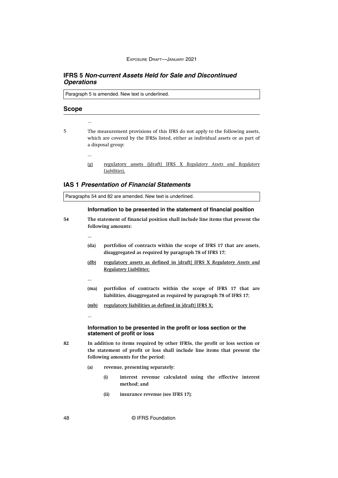# **IFRS 5 Non-current Assets Held for Sale and Discontinued Operations**

Paragraph 5 is amended. New text is underlined.

#### **Scope**

- 5
- The measurement provisions of this IFRS do not apply to the following assets, which are covered by the IFRSs listed, either as individual assets or as part of a disposal group:
	- ...

...

(g) regulatory assets ([draft] IFRS X *Regulatory Assets and Regulatory Liabilities*).

# **IAS 1 Presentation of Financial Statements**

Paragraphs 54 and 82 are amended. New text is underlined.

# **Information to be presented in the statement of financial position**

**54**

**The statement of financial position shall include line items that present the following amounts:**

- **(da) portfolios of contracts within the scope of IFRS 17 that are assets, disaggregated as required by paragraph 78 of IFRS 17;**
- **(db) regulatory assets as defined in [draft] IFRS X** *Regulatory Assets and Regulatory Liabilities***;**
- 

...

**...**

- **(ma) portfolios of contracts within the scope of IFRS 17 that are liabilities, disaggregated as required by paragraph 78 of IFRS 17;**
- **(mb) regulatory liabilities as defined in [draft] IFRS X;**

#### **Information to be presented in the profit or loss section or the statement of profit or loss**

**82**

**In addition to items required by other IFRSs, the profit or loss section or the statement of profit or loss shall include line items that present the following amounts for the period:**

- **(a) revenue, presenting separately:**
	- **(i) interest revenue calculated using the effective interest method; and**
	- **(ii) insurance revenue (see IFRS 17);**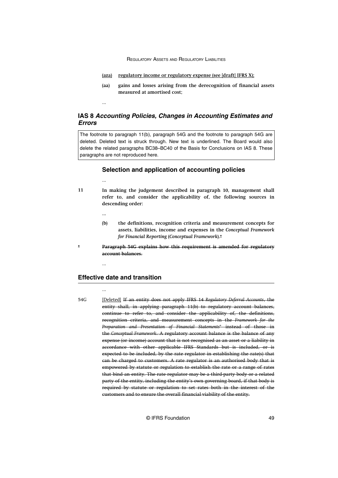- **(aza) regulatory income or regulatory expense (see [draft] IFRS X);**
- **(aa) gains and losses arising from the derecognition of financial assets measured at amortised cost;**

# **IAS 8 Accounting Policies, Changes in Accounting Estimates and Errors**

The footnote to paragraph 11(b), paragraph 54G and the footnote to paragraph 54G are deleted. Deleted text is struck through. New text is underlined. The Board would also delete the related paragraphs BC38–BC40 of the Basis for Conclusions on IAS 8. These paragraphs are not reproduced here.

# **Selection and application of accounting policies**

...

...

- **In making the judgement described in paragraph 10, management shall refer to, and consider the applicability of, the following sources in descending order: 11**
	- **...**
	- **(b) the definitions, recognition criteria and measurement concepts for assets, liabilities, income and expenses in the** *Conceptual Framework for Financial Reporting* **(***Conceptual Framework***).\***
	- **Paragraph 54G explains how this requirement is amended for regulatory account balances.**

#### ...

**\***

# **Effective date and transition**

# ...

[Deleted] If an entity does not apply IFRS 14 *Regulatory Deferral Accounts*, the entity shall, in applying paragraph 11(b) to regulatory account balances, continue to refer to, and consider the applicability of, the definitions, recognition criteria, and measurement concepts in the *Framework for the Preparation and Presentation of Financial Statements*\* instead of those in the *Conceptual Framework*. A regulatory account balance is the balance of any expense (or income) account that is not recognised as an asset or a liability in accordance with other applicable IFRS Standards but is included, or is expected to be included, by the rate regulator in establishing the rate(s) that can be charged to customers. A rate regulator is an authorised body that is empowered by statute or regulation to establish the rate or a range of rates that bind an entity. The rate regulator may be a third-party body or a related party of the entity, including the entity's own governing board, if that body is required by statute or regulation to set rates both in the interest of the customers and to ensure the overall financial viability of the entity. 54G

© IFRS Foundation 49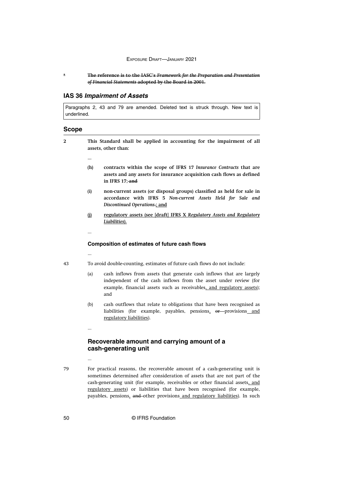**The reference is to the IASC's** *Framework for the Preparation and Presentation of Financial Statements* **adopted by the Board in 2001.**

# **IAS 36 Impairment of Assets**

Paragraphs 2, 43 and 79 are amended. Deleted text is struck through. New text is underlined.

#### **Scope**

**2**

**\***

**This Standard shall be applied in accounting for the impairment of all assets, other than:**

- 
- **(h) contracts within the scope of IFRS 17** *Insurance Contracts* **that are assets and any assets for insurance acquisition cash flows as defined in IFRS 17; and**
- **(i) non-current assets (or disposal groups) classified as held for sale in accordance with IFRS 5** *Non-current Assets Held for Sale and Discontinued Operations***.; and**
- **(j) regulatory assets (see [draft] IFRS X** *Regulatory Assets and Regulatory Liabilities***).**
- ...

...

...

...

#### **Composition of estimates of future cash flows**

43

To avoid double-counting, estimates of future cash flows do not include:

- (a) cash inflows from assets that generate cash inflows that are largely independent of the cash inflows from the asset under review (for example, financial assets such as receivables, and regulatory assets); and
- (b) cash outflows that relate to obligations that have been recognised as liabilities (for example, payables, pensions, or provisions and regulatory liabilities).

# **Recoverable amount and carrying amount of a cash-generating unit**

79

For practical reasons, the recoverable amount of a cash-generating unit is sometimes determined after consideration of assets that are not part of the cash-generating unit (for example, receivables or other financial assets, and regulatory assets) or liabilities that have been recognised (for example, payables, pensions, and other provisions and regulatory liabilities). In such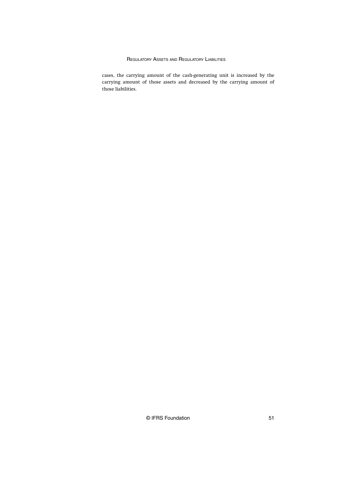cases, the carrying amount of the cash-generating unit is increased by the carrying amount of those assets and decreased by the carrying amount of those liabilities.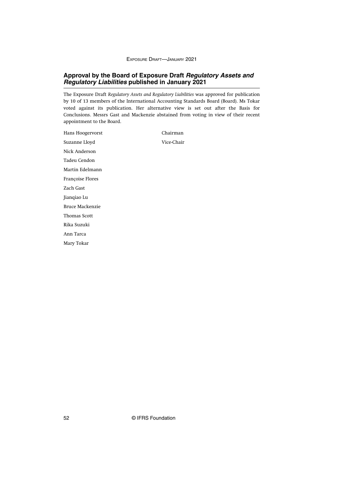# **Approval by the Board of Exposure Draft Regulatory Assets and Regulatory Liabilities published in January 2021**

The Exposure Draft *Regulatory Assets and Regulatory Liabilities* was approved for publication by 10 of 13 members of the International Accounting Standards Board (Board). Ms Tokar voted against its publication. Her alternative view is set out after the Basis for Conclusions. Messrs Gast and Mackenzie abstained from voting in view of their recent appointment to the Board.

| Hans Hoogervorst    | Chairman   |
|---------------------|------------|
| Suzanne Lloyd       | Vice-Chair |
| Nick Anderson       |            |
| Tadeu Cendon        |            |
| Martin Edelmann     |            |
| Françoise Flores    |            |
| Zach Gast           |            |
| Jianqiao Lu         |            |
| Bruce Mackenzie     |            |
| <b>Thomas Scott</b> |            |
| Rika Suzuki         |            |
| Ann Tarca           |            |
| Mary Tokar          |            |
|                     |            |